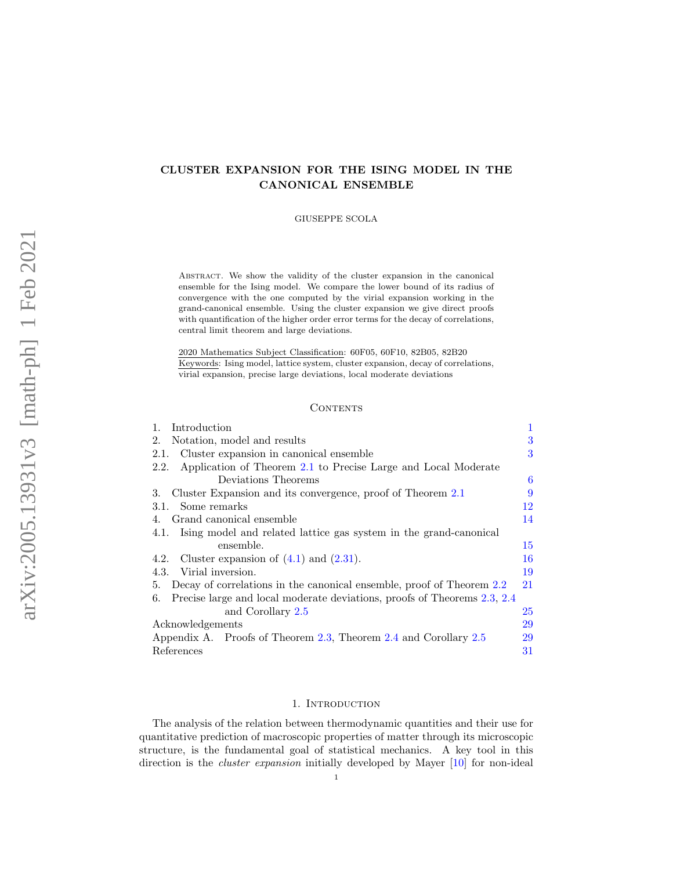# CLUSTER EXPANSION FOR THE ISING MODEL IN THE CANONICAL ENSEMBLE

GIUSEPPE SCOLA

Abstract. We show the validity of the cluster expansion in the canonical ensemble for the Ising model. We compare the lower bound of its radius of convergence with the one computed by the virial expansion working in the grand-canonical ensemble. Using the cluster expansion we give direct proofs with quantification of the higher order error terms for the decay of correlations, central limit theorem and large deviations.

2020 Mathematics Subject Classification: 60F05, 60F10, 82B05, 82B20 Keywords: Ising model, lattice system, cluster expansion, decay of correlations, virial expansion, precise large deviations, local moderate deviations

## **CONTENTS**

| Introduction<br>1.                                                             | 1  |
|--------------------------------------------------------------------------------|----|
| Notation, model and results<br>2.                                              | 3  |
| Cluster expansion in canonical ensemble<br>2.1.                                | 3  |
| Application of Theorem 2.1 to Precise Large and Local Moderate<br>2.2.         |    |
| Deviations Theorems                                                            | 6  |
| Cluster Expansion and its convergence, proof of Theorem 2.1<br>3.              | 9  |
| 3.1. Some remarks                                                              | 12 |
| Grand canonical ensemble                                                       | 14 |
| 4.1. Ising model and related lattice gas system in the grand-canonical         |    |
| ensemble.                                                                      | 15 |
| Cluster expansion of $(4.1)$ and $(2.31)$ .<br>4.2.                            | 16 |
| Virial inversion.<br>4.3.                                                      | 19 |
| Decay of correlations in the canonical ensemble, proof of Theorem 2.2<br>5.    | 21 |
| Precise large and local moderate deviations, proofs of Theorems 2.3, 2.4<br>6. |    |
| and Corollary 2.5                                                              | 25 |
| Acknowledgements                                                               | 29 |
| Appendix A. Proofs of Theorem 2.3, Theorem 2.4 and Corollary 2.5               | 29 |
| References                                                                     | 31 |

### 1. Introduction

<span id="page-0-0"></span>The analysis of the relation between thermodynamic quantities and their use for quantitative prediction of macroscopic properties of matter through its microscopic structure, is the fundamental goal of statistical mechanics. A key tool in this direction is the *cluster expansion* initially developed by Mayer [\[10\]](#page-30-1) for non-ideal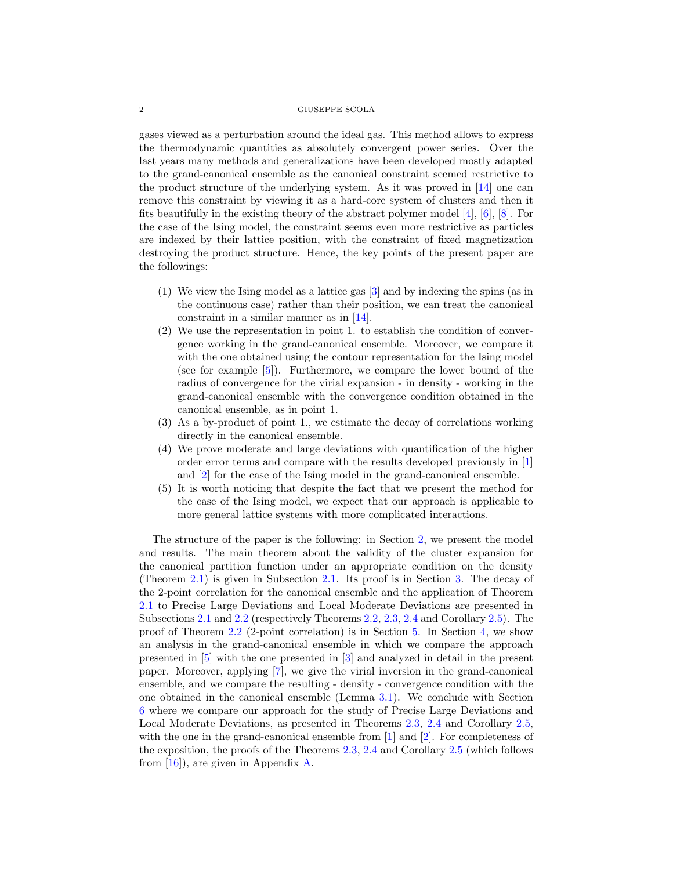gases viewed as a perturbation around the ideal gas. This method allows to express the thermodynamic quantities as absolutely convergent power series. Over the last years many methods and generalizations have been developed mostly adapted to the grand-canonical ensemble as the canonical constraint seemed restrictive to the product structure of the underlying system. As it was proved in [\[14\]](#page-30-2) one can remove this constraint by viewing it as a hard-core system of clusters and then it fits beautifully in the existing theory of the abstract polymer model [\[4\]](#page-30-3), [\[6\]](#page-30-4), [\[8\]](#page-30-5). For the case of the Ising model, the constraint seems even more restrictive as particles are indexed by their lattice position, with the constraint of fixed magnetization destroying the product structure. Hence, the key points of the present paper are the followings:

- (1) We view the Ising model as a lattice gas [\[3\]](#page-30-6) and by indexing the spins (as in the continuous case) rather than their position, we can treat the canonical constraint in a similar manner as in [\[14\]](#page-30-2).
- (2) We use the representation in point 1. to establish the condition of convergence working in the grand-canonical ensemble. Moreover, we compare it with the one obtained using the contour representation for the Ising model (see for example [\[5\]](#page-30-7)). Furthermore, we compare the lower bound of the radius of convergence for the virial expansion - in density - working in the grand-canonical ensemble with the convergence condition obtained in the canonical ensemble, as in point 1.
- (3) As a by-product of point 1., we estimate the decay of correlations working directly in the canonical ensemble.
- (4) We prove moderate and large deviations with quantification of the higher order error terms and compare with the results developed previously in [\[1\]](#page-30-8) and [\[2\]](#page-30-9) for the case of the Ising model in the grand-canonical ensemble.
- (5) It is worth noticing that despite the fact that we present the method for the case of the Ising model, we expect that our approach is applicable to more general lattice systems with more complicated interactions.

The structure of the paper is the following: in Section [2,](#page-2-0) we present the model and results. The main theorem about the validity of the cluster expansion for the canonical partition function under an appropriate condition on the density (Theorem [2.1\)](#page-4-0) is given in Subsection [2.1.](#page-2-1) Its proof is in Section [3.](#page-8-0) The decay of the 2-point correlation for the canonical ensemble and the application of Theorem [2.1](#page-4-0) to Precise Large Deviations and Local Moderate Deviations are presented in Subsections [2.1](#page-2-1) and [2.2](#page-5-0) (respectively Theorems [2.2,](#page-5-1) [2.3,](#page-6-1) [2.4](#page-7-0) and Corollary [2.5\)](#page-8-1). The proof of Theorem [2.2](#page-5-1) (2-point correlation) is in Section [5.](#page-20-0) In Section [4,](#page-13-0) we show an analysis in the grand-canonical ensemble in which we compare the approach presented in [\[5\]](#page-30-7) with the one presented in [\[3\]](#page-30-6) and analyzed in detail in the present paper. Moreover, applying [\[7\]](#page-30-10), we give the virial inversion in the grand-canonical ensemble, and we compare the resulting - density - convergence condition with the one obtained in the canonical ensemble (Lemma [3.1\)](#page-9-0). We conclude with Section [6](#page-24-0) where we compare our approach for the study of Precise Large Deviations and Local Moderate Deviations, as presented in Theorems [2.3,](#page-6-1) [2.4](#page-7-0) and Corollary [2.5,](#page-8-1) with the one in the grand-canonical ensemble from [\[1\]](#page-30-8) and [\[2\]](#page-30-9). For completeness of the exposition, the proofs of the Theorems [2.3,](#page-6-1) [2.4](#page-7-0) and Corollary [2.5](#page-8-1) (which follows from [\[16\]](#page-30-11)), are given in Appendix [A.](#page-28-1)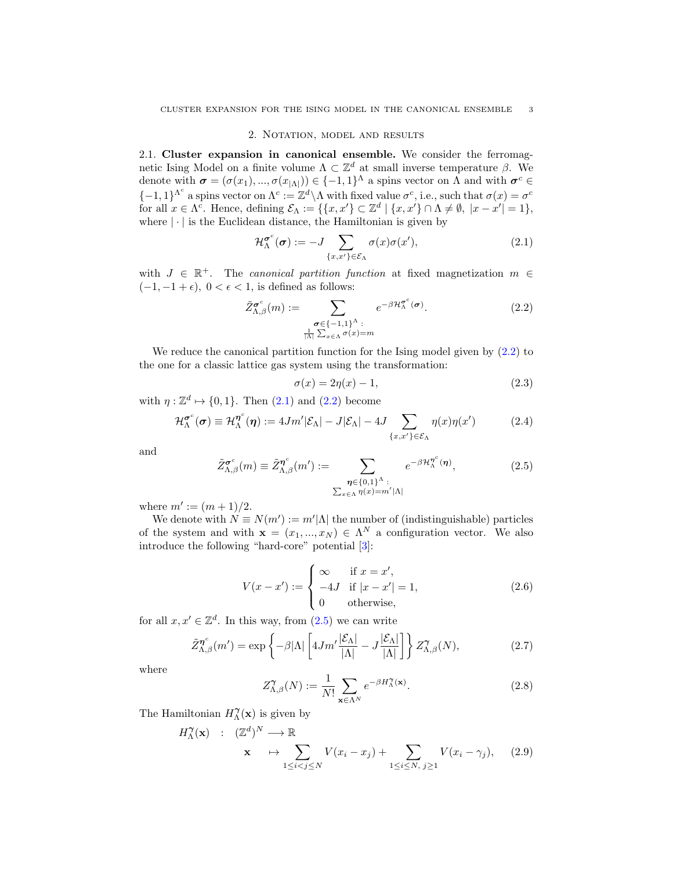## 2. Notation, model and results

<span id="page-2-1"></span><span id="page-2-0"></span>2.1. Cluster expansion in canonical ensemble. We consider the ferromagnetic Ising Model on a finite volume  $\Lambda \subset \mathbb{Z}^d$  at small inverse temperature β. We denote with  $\boldsymbol{\sigma} = (\sigma(x_1), ..., \sigma(x_{|\Lambda|})) \in \{-1, 1\}^{\Lambda}$  a spins vector on  $\Lambda$  and with  $\boldsymbol{\sigma}^c \in$  $\{-1,1\}^{\Lambda^c}$  a spins vector on  $\Lambda^c := \mathbb{Z}^d \setminus \Lambda$  with fixed value  $\sigma^c$ , i.e., such that  $\sigma(x) = \sigma^c$ for all  $x \in \Lambda^c$ . Hence, defining  $\mathcal{E}_{\Lambda} := \{ \{x, x'\} \subset \mathbb{Z}^d \mid \{x, x'\} \cap \Lambda \neq \emptyset, |x - x'| = 1 \},$ where  $|\cdot|$  is the Euclidean distance, the Hamiltonian is given by

<span id="page-2-3"></span>
$$
\mathcal{H}_{\Lambda}^{\sigma^c}(\boldsymbol{\sigma}) := -J \sum_{\{x,x'\} \in \mathcal{E}_{\Lambda}} \sigma(x) \sigma(x'), \tag{2.1}
$$

with  $J \in \mathbb{R}^+$ . The canonical partition function at fixed magnetization  $m \in$  $(-1, -1 + \epsilon)$ ,  $0 < \epsilon < 1$ , is defined as follows:

<span id="page-2-2"></span>
$$
\tilde{Z}_{\Lambda,\beta}^{\sigma^c}(m) := \sum_{\substack{\sigma \in \{-1,1\}^\Lambda : \\ \frac{1}{|\Lambda|} \sum_{x \in \Lambda} \sigma(x) = m}} e^{-\beta \mathcal{H}_{\Lambda}^{\sigma^c}(\sigma)}.
$$
\n(2.2)

We reduce the canonical partition function for the Ising model given by  $(2.2)$  to the one for a classic lattice gas system using the transformation:

<span id="page-2-7"></span>
$$
\sigma(x) = 2\eta(x) - 1,\tag{2.3}
$$

with  $\eta: \mathbb{Z}^d \mapsto \{0,1\}$ . Then  $(2.1)$  and  $(2.2)$  become

<span id="page-2-10"></span>
$$
\mathcal{H}_{\Lambda}^{\sigma^c}(\sigma) \equiv \mathcal{H}_{\Lambda}^{\eta^c}(\eta) := 4Jm'|\mathcal{E}_{\Lambda}| - J|\mathcal{E}_{\Lambda}| - 4J \sum_{\{x,x'\} \in \mathcal{E}_{\Lambda}} \eta(x)\eta(x') \tag{2.4}
$$

and

<span id="page-2-4"></span>
$$
\tilde{Z}_{\Lambda,\beta}^{\sigma^c}(m) \equiv \tilde{Z}_{\Lambda,\beta}^{\eta^c}(m') := \sum_{\substack{\eta \in \{0,1\}^\Lambda : \\ \sum_{x \in \Lambda} \eta(x) = m'|\Lambda|}} e^{-\beta \mathcal{H}_{\Lambda}^{\eta^c}(\eta)},\tag{2.5}
$$

where  $m' := (m + 1)/2$ .

We denote with  $N \equiv N(m') := m'|\Lambda|$  the number of (indistinguishable) particles of the system and with  $\mathbf{x} = (x_1, ..., x_N) \in \Lambda^N$  a configuration vector. We also introduce the following "hard-core" potential [\[3\]](#page-30-6):

<span id="page-2-5"></span>
$$
V(x - x') := \begin{cases} \infty & \text{if } x = x', \\ -4J & \text{if } |x - x'| = 1, \\ 0 & \text{otherwise,} \end{cases}
$$
 (2.6)

for all  $x, x' \in \mathbb{Z}^d$ . In this way, from  $(2.5)$  we can write

<span id="page-2-9"></span>
$$
\tilde{Z}_{\Lambda,\beta}^{\eta^c}(m') = \exp\left\{-\beta|\Lambda|\left[4Jm'\frac{|\mathcal{E}_{\Lambda}|}{|\Lambda|} - J\frac{|\mathcal{E}_{\Lambda}|}{|\Lambda|}\right]\right\} Z_{\Lambda,\beta}^{\gamma}(N),\tag{2.7}
$$

where

<span id="page-2-6"></span>
$$
Z_{\Lambda,\beta}^{\gamma}(N) := \frac{1}{N!} \sum_{\mathbf{x} \in \Lambda^N} e^{-\beta H_{\Lambda}^{\gamma}(\mathbf{x})}.
$$
 (2.8)

The Hamiltonian  $H_{\Lambda}^{\gamma}(\mathbf{x})$  is given by

<span id="page-2-8"></span>
$$
H_{\Lambda}^{\gamma}(\mathbf{x}) \quad : \quad (\mathbb{Z}^d)^N \longrightarrow \mathbb{R} \\ \mathbf{x} \quad \mapsto \sum_{1 \le i < j \le N} V(x_i - x_j) + \sum_{1 \le i \le N, \ j \ge 1} V(x_i - \gamma_j), \quad (2.9)
$$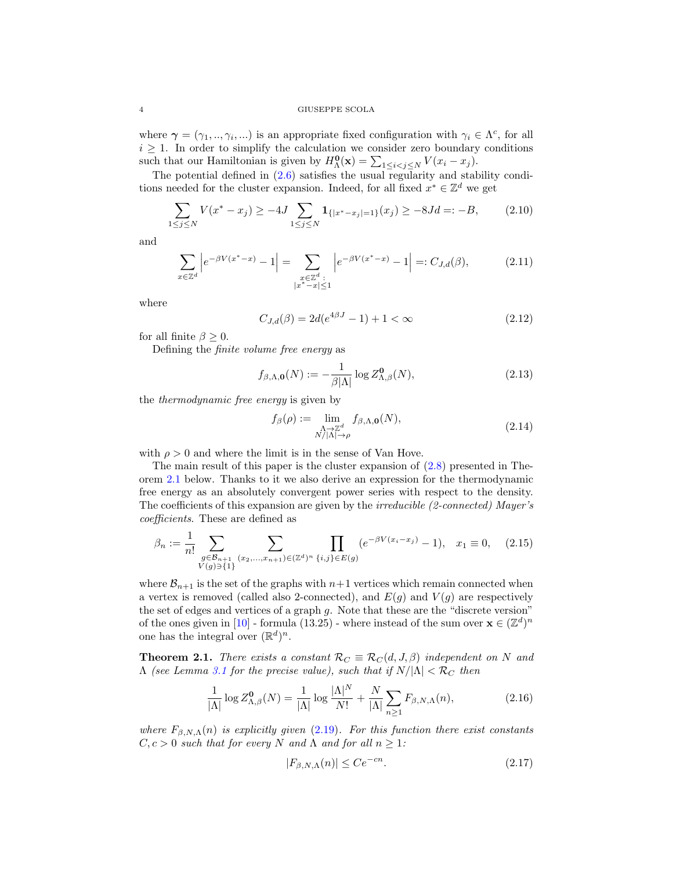where  $\gamma = (\gamma_1, ..., \gamma_i, ...)$  is an appropriate fixed configuration with  $\gamma_i \in \Lambda^c$ , for all  $i \geq 1$ . In order to simplify the calculation we consider zero boundary conditions such that our Hamiltonian is given by  $H_{\Lambda}^{\mathbf{0}}(\mathbf{x}) = \sum_{1 \leq i < j \leq N} V(x_i - x_j)$ .

The potential defined in  $(2.6)$  satisfies the usual regularity and stability conditions needed for the cluster expansion. Indeed, for all fixed  $x^* \in \mathbb{Z}^d$  we get

<span id="page-3-1"></span>
$$
\sum_{1 \le j \le N} V(x^* - x_j) \ge -4J \sum_{1 \le j \le N} \mathbf{1}_{\{|x^* - x_j| = 1\}}(x_j) \ge -8Jd =:-B,\tag{2.10}
$$

and

$$
\sum_{x \in \mathbb{Z}^d} \left| e^{-\beta V(x^* - x)} - 1 \right| = \sum_{\substack{x \in \mathbb{Z}^d : \\ |x^* - x| \le 1}} \left| e^{-\beta V(x^* - x)} - 1 \right| =: C_{J,d}(\beta),\tag{2.11}
$$

where

<span id="page-3-2"></span>
$$
C_{J,d}(\beta) = 2d(e^{4\beta J} - 1) + 1 < \infty \tag{2.12}
$$

for all finite  $\beta \geq 0$ .

Defining the finite volume free energy as

<span id="page-3-5"></span>
$$
f_{\beta,\Lambda,\mathbf{0}}(N) := -\frac{1}{\beta|\Lambda|} \log Z_{\Lambda,\beta}^{\mathbf{0}}(N),\tag{2.13}
$$

<span id="page-3-3"></span>the thermodynamic free energy is given by

$$
f_{\beta}(\rho) := \lim_{\substack{\Lambda \to \mathbb{Z}^d \\ N/|\Lambda| \to \rho}} f_{\beta,\Lambda,\mathbf{0}}(N),
$$
\n(2.14)

with  $\rho > 0$  and where the limit is in the sense of Van Hove.

The main result of this paper is the cluster expansion of [\(2.8\)](#page-2-6) presented in Theorem [2.1](#page-4-0) below. Thanks to it we also derive an expression for the thermodynamic free energy as an absolutely convergent power series with respect to the density. The coefficients of this expansion are given by the irreducible (2-connected) Mayer's coefficients. These are defined as

<span id="page-3-0"></span>
$$
\beta_n := \frac{1}{n!} \sum_{\substack{g \in \mathcal{B}_{n+1} \\ V(g) \ni \{1\}}} \sum_{(x_2, \dots, x_{n+1}) \in (\mathbb{Z}^d)^n} \prod_{\{i, j\} \in E(g)} (e^{-\beta V(x_i - x_j)} - 1), \quad x_1 \equiv 0, \quad (2.15)
$$

where  $\mathcal{B}_{n+1}$  is the set of the graphs with  $n+1$  vertices which remain connected when a vertex is removed (called also 2-connected), and  $E(g)$  and  $V(g)$  are respectively the set of edges and vertices of a graph g. Note that these are the "discrete version" of the ones given in [\[10\]](#page-30-1) - formula (13.25) - where instead of the sum over  $\mathbf{x} \in (\mathbb{Z}^d)^n$ one has the integral over  $(\mathbb{R}^d)^n$ .

**Theorem 2.1.** There exists a constant  $\mathcal{R}_C \equiv \mathcal{R}_C(d, J, \beta)$  independent on N and  $\Lambda$  (see Lemma [3.1](#page-9-0) for the precise value), such that if  $N/|\Lambda| < \mathcal{R}_C$  then

<span id="page-3-4"></span>
$$
\frac{1}{|\Lambda|}\log Z^{\mathbf{0}}_{\Lambda,\beta}(N) = \frac{1}{|\Lambda|}\log\frac{|\Lambda|^N}{N!} + \frac{N}{|\Lambda|}\sum_{n\geq 1}F_{\beta,N,\Lambda}(n),\tag{2.16}
$$

where  $F_{\beta,N,\Lambda}(n)$  is explicitly given [\(2.19\)](#page-4-1). For this function there exist constants  $C, c > 0$  such that for every N and  $\Lambda$  and for all  $n \geq 1$ :

$$
|F_{\beta,N,\Lambda}(n)| \le Ce^{-cn}.\tag{2.17}
$$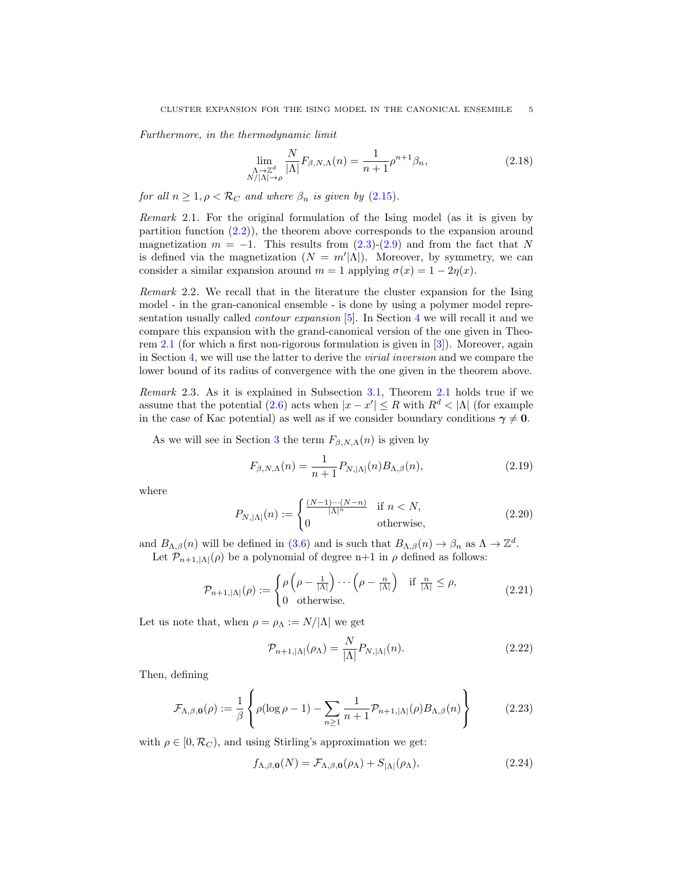Furthermore, in the thermodynamic limit

<span id="page-4-0"></span>
$$
\lim_{\substack{\Lambda \to \mathbb{Z}^d \\ N/|\Lambda| \to \rho}} \frac{N}{|\Lambda|} F_{\beta, N, \Lambda}(n) = \frac{1}{n+1} \rho^{n+1} \beta_n,\tag{2.18}
$$

for all  $n \geq 1, \rho < \mathcal{R}_C$  and where  $\beta_n$  is given by  $(2.15)$ .

Remark 2.1. For the original formulation of the Ising model (as it is given by partition function [\(2.2\)](#page-2-2)), the theorem above corresponds to the expansion around magnetization  $m = -1$ . This results from [\(2.3\)](#page-2-7)-[\(2.9\)](#page-2-8) and from the fact that N is defined via the magnetization  $(N = m'|\Lambda|)$ . Moreover, by symmetry, we can consider a similar expansion around  $m = 1$  applying  $\sigma(x) = 1 - 2\eta(x)$ .

Remark 2.2. We recall that in the literature the cluster expansion for the Ising model - in the gran-canonical ensemble - is done by using a polymer model representation usually called contour expansion [\[5\]](#page-30-7). In Section [4](#page-13-0) we will recall it and we compare this expansion with the grand-canonical version of the one given in Theorem [2.1](#page-4-0) (for which a first non-rigorous formulation is given in [\[3\]](#page-30-6)). Moreover, again in Section [4,](#page-13-0) we will use the latter to derive the virial inversion and we compare the lower bound of its radius of convergence with the one given in the theorem above.

Remark 2.3. As it is explained in Subsection [3.1,](#page-11-0) Theorem [2.1](#page-4-0) holds true if we assume that the potential [\(2.6\)](#page-2-5) acts when  $|x - x'| \leq R$  with  $R<sup>d</sup> < |\Lambda|$  (for example in the case of Kac potential) as well as if we consider boundary conditions  $\gamma \neq 0$ .

As we will see in Section [3](#page-8-0) the term  $F_{\beta,N,\Lambda}(n)$  is given by

<span id="page-4-1"></span>
$$
F_{\beta,N,\Lambda}(n) = \frac{1}{n+1} P_{N,|\Lambda|}(n) B_{\Lambda,\beta}(n),
$$
\n(2.19)

where

$$
P_{N,|\Lambda|}(n) := \begin{cases} \frac{(N-1)\cdots(N-n)}{|\Lambda|^n} & \text{if } n < N, \\ 0 & \text{otherwise,} \end{cases}
$$
 (2.20)

and  $B_{\Lambda,\beta}(n)$  will be defined in [\(3.6\)](#page-9-1) and is such that  $B_{\Lambda,\beta}(n) \to \beta_n$  as  $\Lambda \to \mathbb{Z}^d$ . Let  $\mathcal{P}_{n+1,|\Lambda|}(\rho)$  be a polynomial of degree n+1 in  $\rho$  defined as follows:

$$
\mathcal{P}_{n+1,|\Lambda|}(\rho) := \begin{cases} \rho\left(\rho - \frac{1}{|\Lambda|}\right) \cdots \left(\rho - \frac{n}{|\Lambda|}\right) & \text{if } \frac{n}{|\Lambda|} \le \rho, \\ 0 & \text{otherwise.} \end{cases}
$$
 (2.21)

Let us note that, when  $\rho = \rho_{\Lambda} := N/|\Lambda|$  we get

$$
\mathcal{P}_{n+1,|\Lambda|}(\rho_{\Lambda}) = \frac{N}{|\Lambda|} P_{N,|\Lambda|}(n). \tag{2.22}
$$

Then, defining

<span id="page-4-3"></span>
$$
\mathcal{F}_{\Lambda,\beta,\mathbf{0}}(\rho) := \frac{1}{\beta} \left\{ \rho(\log \rho - 1) - \sum_{n \ge 1} \frac{1}{n+1} \mathcal{P}_{n+1,|\Lambda|}(\rho) B_{\Lambda,\beta}(n) \right\} \tag{2.23}
$$

with  $\rho \in [0, \mathcal{R}_C)$ , and using Stirling's approximation we get:

<span id="page-4-2"></span>
$$
f_{\Lambda,\beta,\mathbf{0}}(N) = \mathcal{F}_{\Lambda,\beta,\mathbf{0}}(\rho_{\Lambda}) + S_{|\Lambda|}(\rho_{\Lambda}),
$$
\n(2.24)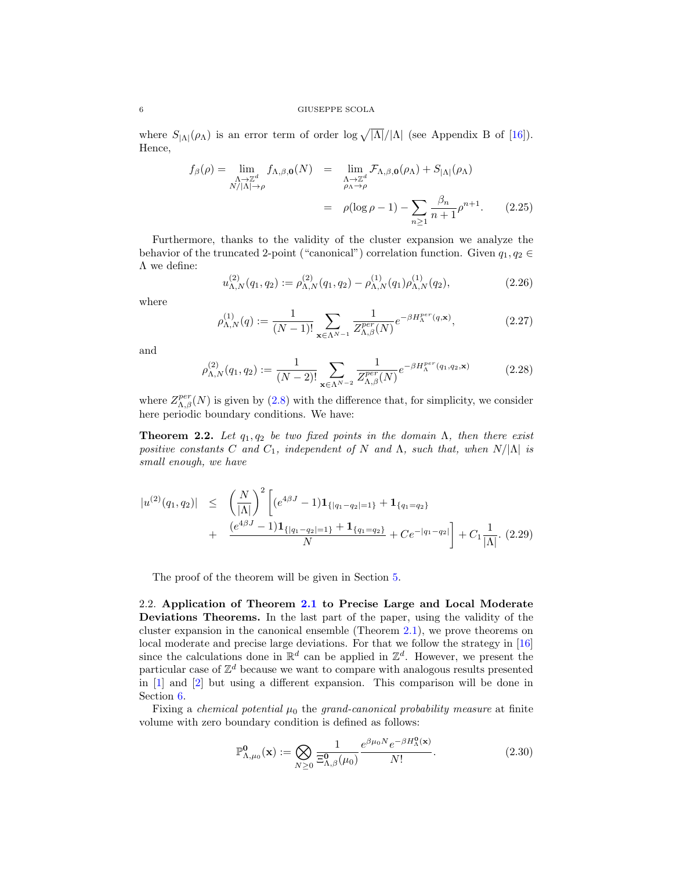where  $S_{\vert\Lambda\vert}(\rho_{\Lambda})$  is an error term of order log  $\sqrt{\vert\Lambda\vert}/\vert\Lambda\vert$  (see Appendix B of [\[16\]](#page-30-11)). Hence,

<span id="page-5-2"></span>
$$
f_{\beta}(\rho) = \lim_{\substack{\Lambda \to \mathbb{Z}^d \\ N/|\Lambda| \to \rho}} f_{\Lambda,\beta,\mathbf{0}}(N) = \lim_{\substack{\Lambda \to \mathbb{Z}^d \\ \rho_{\Lambda} \to \rho}} \mathcal{F}_{\Lambda,\beta,\mathbf{0}}(\rho_{\Lambda}) + S_{|\Lambda|}(\rho_{\Lambda})
$$

$$
= \rho(\log \rho - 1) - \sum_{n \ge 1} \frac{\beta_n}{n+1} \rho^{n+1}.
$$
 (2.25)

Furthermore, thanks to the validity of the cluster expansion we analyze the behavior of the truncated 2-point ("canonical") correlation function. Given  $q_1, q_2 \in$ Λ we define:

<span id="page-5-3"></span>
$$
u_{\Lambda,N}^{(2)}(q_1,q_2) := \rho_{\Lambda,N}^{(2)}(q_1,q_2) - \rho_{\Lambda,N}^{(1)}(q_1)\rho_{\Lambda,N}^{(1)}(q_2), \qquad (2.26)
$$

where

$$
\rho_{\Lambda,N}^{(1)}(q) := \frac{1}{(N-1)!} \sum_{\mathbf{x} \in \Lambda^{N-1}} \frac{1}{Z_{\Lambda,\beta}^{per}(N)} e^{-\beta H_{\Lambda}^{per}(q,\mathbf{x})},\tag{2.27}
$$

and

$$
\rho_{\Lambda,N}^{(2)}(q_1,q_2) := \frac{1}{(N-2)!} \sum_{\mathbf{x} \in \Lambda^{N-2}} \frac{1}{Z_{\Lambda,\beta}^{per}(N)} e^{-\beta H_{\Lambda}^{per}(q_1,q_2,\mathbf{x})}
$$
(2.28)

where  $Z_{\Lambda,\beta}^{per}(N)$  is given by [\(2.8\)](#page-2-6) with the difference that, for simplicity, we consider here periodic boundary conditions. We have:

**Theorem 2.2.** Let  $q_1, q_2$  be two fixed points in the domain  $\Lambda$ , then there exist positive constants C and  $C_1$ , independent of N and  $\Lambda$ , such that, when  $N/|\Lambda|$  is small enough, we have

<span id="page-5-1"></span>
$$
|u^{(2)}(q_1, q_2)| \leq \left(\frac{N}{|\Lambda|}\right)^2 \left[ (e^{4\beta J} - 1) \mathbf{1}_{\{|q_1 - q_2| = 1\}} + \mathbf{1}_{\{q_1 = q_2\}} + \frac{(e^{4\beta J} - 1) \mathbf{1}_{\{|q_1 - q_2| = 1\}} + \mathbf{1}_{\{q_1 = q_2\}}}{N} + C e^{-|q_1 - q_2|} \right] + C_1 \frac{1}{|\Lambda|}. (2.29)
$$

The proof of the theorem will be given in Section [5.](#page-20-0)

<span id="page-5-0"></span>2.2. Application of Theorem [2.1](#page-4-0) to Precise Large and Local Moderate Deviations Theorems. In the last part of the paper, using the validity of the cluster expansion in the canonical ensemble (Theorem [2.1\)](#page-4-0), we prove theorems on local moderate and precise large deviations. For that we follow the strategy in [\[16\]](#page-30-11) since the calculations done in  $\mathbb{R}^d$  can be applied in  $\mathbb{Z}^d$ . However, we present the particular case of  $\mathbb{Z}^d$  because we want to compare with analogous results presented in [\[1\]](#page-30-8) and [\[2\]](#page-30-9) but using a different expansion. This comparison will be done in Section [6.](#page-24-0)

Fixing a *chemical potential*  $\mu_0$  the *grand-canonical probability measure* at finite volume with zero boundary condition is defined as follows:

<span id="page-5-4"></span>
$$
\mathbb{P}^{\mathbf{0}}_{\Lambda,\mu_0}(\mathbf{x}) := \bigotimes_{N\geq 0} \frac{1}{\Xi_{\Lambda,\beta}^{\mathbf{0}}(\mu_0)} \frac{e^{\beta\mu_0 N} e^{-\beta H_{\Lambda}^{\mathbf{0}}(\mathbf{x})}}{N!}.
$$
 (2.30)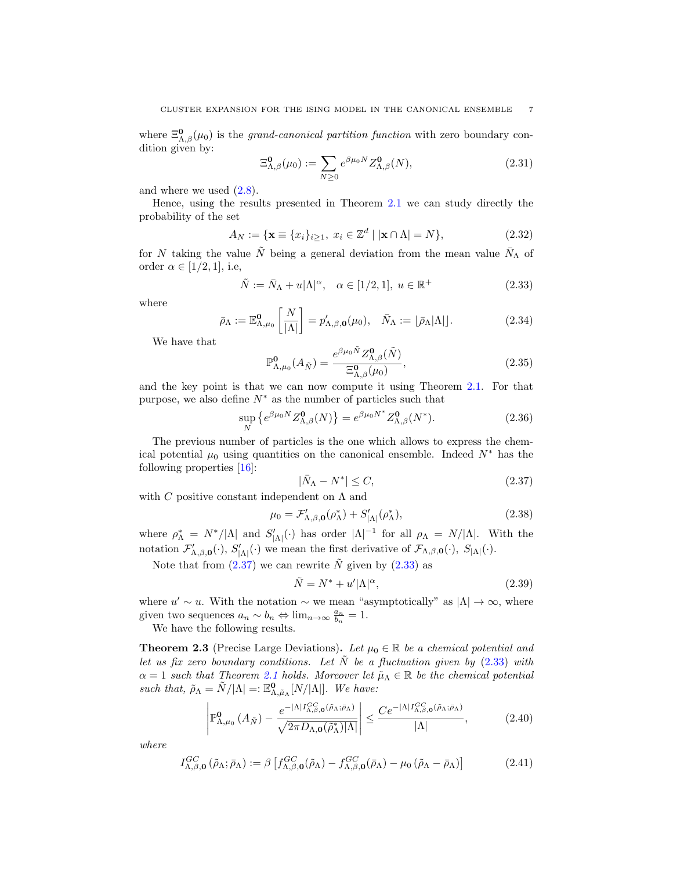where  $\Xi_{\Lambda,\beta}^{0}(\mu_{0})$  is the *grand-canonical partition function* with zero boundary condition given by:

<span id="page-6-0"></span>
$$
\Xi_{\Lambda,\beta}^{\mathbf{0}}(\mu_0) := \sum_{N \ge 0} e^{\beta \mu_0 N} Z_{\Lambda,\beta}^{\mathbf{0}}(N),\tag{2.31}
$$

and where we used  $(2.8)$ .

Hence, using the results presented in Theorem [2.1](#page-4-0) we can study directly the probability of the set

<span id="page-6-6"></span>
$$
A_N := \{ \mathbf{x} \equiv \{x_i\}_{i \ge 1}, \ x_i \in \mathbb{Z}^d \mid |\mathbf{x} \cap \Lambda| = N \},\tag{2.32}
$$

for N taking the value N being a general deviation from the mean value  $\bar{N}_{\Lambda}$  of order  $\alpha \in [1/2, 1]$ , i.e,

<span id="page-6-3"></span>
$$
\tilde{N} := \bar{N}_{\Lambda} + u|\Lambda|^{\alpha}, \quad \alpha \in [1/2, 1], \ u \in \mathbb{R}^+\tag{2.33}
$$

where

<span id="page-6-9"></span>
$$
\bar{\rho}_{\Lambda} := \mathbb{E}^{\mathbf{0}}_{\Lambda, \mu_0} \left[ \frac{N}{|\Lambda|} \right] = p'_{\Lambda, \beta, \mathbf{0}}(\mu_0), \quad \bar{N}_{\Lambda} := \left[ \bar{\rho}_{\Lambda} |\Lambda| \right]. \tag{2.34}
$$

We have that

<span id="page-6-10"></span>
$$
\mathbb{P}^{\mathbf{0}}_{\Lambda,\mu_0}(A_{\tilde{N}}) = \frac{e^{\beta\mu_0 \tilde{N}} Z^{\mathbf{0}}_{\Lambda,\beta}(\tilde{N})}{\Xi^{\mathbf{0}}_{\Lambda,\beta}(\mu_0)},
$$
\n(2.35)

and the key point is that we can now compute it using Theorem [2.1.](#page-4-0) For that purpose, we also define  $N^*$  as the number of particles such that

<span id="page-6-4"></span>
$$
\sup_{N} \left\{ e^{\beta \mu_0 N} Z_{\Lambda,\beta}^{\mathbf{0}}(N) \right\} = e^{\beta \mu_0 N^*} Z_{\Lambda,\beta}^{\mathbf{0}}(N^*). \tag{2.36}
$$

The previous number of particles is the one which allows to express the chemical potential  $\mu_0$  using quantities on the canonical ensemble. Indeed  $N^*$  has the following properties [\[16\]](#page-30-11):

<span id="page-6-2"></span>
$$
|\bar{N}_{\Lambda} - N^*| \le C,\tag{2.37}
$$

with C positive constant independent on  $\Lambda$  and

<span id="page-6-11"></span>
$$
\mu_0 = \mathcal{F}_{\Lambda,\beta,\mathbf{0}}'(\rho_\Lambda^*) + S_{|\Lambda|}'(\rho_\Lambda^*),\tag{2.38}
$$

where  $\rho_{\Lambda}^* = N^*/|\Lambda|$  and  $S'_{|\Lambda|}(\cdot)$  has order  $|\Lambda|^{-1}$  for all  $\rho_{\Lambda} = N/|\Lambda|$ . With the notation  $\mathcal{F}'_{\Lambda,\beta,\mathbf{0}}(\cdot)$ ,  $S'_{\vert\Lambda\vert}(\cdot)$  we mean the first derivative of  $\mathcal{F}_{\Lambda,\beta,\mathbf{0}}(\cdot)$ ,  $S_{\vert\Lambda\vert}(\cdot)$ .

Note that from  $(2.37)$  we can rewrite N given by  $(2.33)$  as

<span id="page-6-5"></span>
$$
\tilde{N} = N^* + u'|\Lambda|^\alpha, \tag{2.39}
$$

where  $u' \sim u$ . With the notation  $\sim$  we mean "asymptotically" as  $|\Lambda| \to \infty$ , where given two sequences  $a_n \sim b_n \Leftrightarrow \lim_{n \to \infty} \frac{a_n}{b_n} = 1.$ 

We have the following results.

<span id="page-6-1"></span>**Theorem 2.3** (Precise Large Deviations). Let  $\mu_0 \in \mathbb{R}$  be a chemical potential and let us fix zero boundary conditions. Let  $\tilde{N}$  be a fluctuation given by [\(2.33\)](#page-6-3) with  $\alpha = 1$  such that Theorem [2.1](#page-4-0) holds. Moreover let  $\tilde{\mu}_\Lambda \in \mathbb{R}$  be the chemical potential such that,  $\tilde{\rho}_{\Lambda} = \tilde{N}/|\Lambda| =: \mathbb{E}^{\mathbf{0}}_{\Lambda, \tilde{\mu}_{\Lambda}}[N/|\Lambda|].$  We have:

<span id="page-6-7"></span>
$$
\left| \mathbb{P}^{\mathbf{0}}_{\Lambda,\mu_{0}}\left(A_{\tilde{N}}\right) - \frac{e^{-\left|\Lambda\right| I^{GC}_{\Lambda,\beta,\mathbf{0}}\left(\tilde{\rho}_{\Lambda};\bar{\rho}_{\Lambda}\right)}}{\sqrt{2\pi D_{\Lambda,\mathbf{0}}\left(\tilde{\rho}_{\Lambda}^{*}\right)\left|\Lambda\right|}} \right| \leq \frac{Ce^{-\left|\Lambda\right| I^{GC}_{\Lambda,\beta,\mathbf{0}}\left(\tilde{\rho}_{\Lambda};\bar{\rho}_{\Lambda}\right)}}{\left|\Lambda\right|},\tag{2.40}
$$

where

<span id="page-6-8"></span>
$$
I_{\Lambda,\beta,\mathbf{0}}^{GC}(\tilde{\rho}_{\Lambda};\bar{\rho}_{\Lambda}) := \beta \left[ f_{\Lambda,\beta,\mathbf{0}}^{GC}(\tilde{\rho}_{\Lambda}) - f_{\Lambda,\beta,\mathbf{0}}^{GC}(\bar{\rho}_{\Lambda}) - \mu_0 \left( \tilde{\rho}_{\Lambda} - \bar{\rho}_{\Lambda} \right) \right]
$$
(2.41)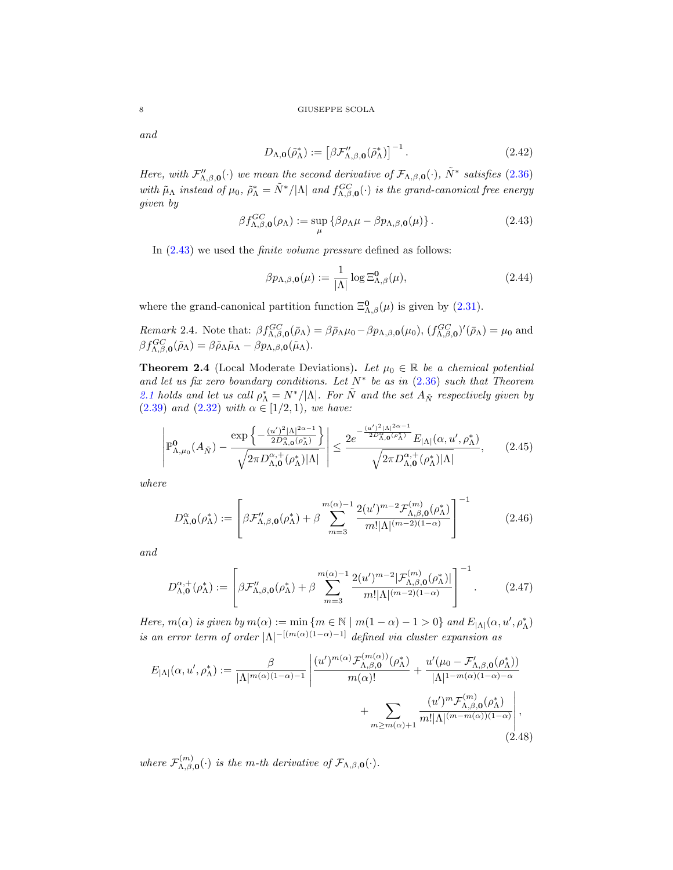and

<span id="page-7-2"></span>
$$
D_{\Lambda,\mathbf{0}}(\tilde{\rho}_{\Lambda}^*) := \left[\beta \mathcal{F}_{\Lambda,\beta,\mathbf{0}}^{"}(\tilde{\rho}_{\Lambda}^*)\right]^{-1}.
$$
\n(2.42)

Here, with  $\mathcal{F}_{\Lambda,\beta,\mathbf{0}}''(\cdot)$  we mean the second derivative of  $\mathcal{F}_{\Lambda,\beta,\mathbf{0}}(\cdot)$ ,  $\tilde{N}^*$  satisfies [\(2.36\)](#page-6-4) with  $\tilde{\mu}_{\Lambda}$  instead of  $\mu_0$ ,  $\tilde{\rho}_{\Lambda}^* = \tilde{N}^*/|\Lambda|$  and  $f_{\Lambda,\beta,0}^{GC}(\cdot)$  is the grand-canonical free energy given by

<span id="page-7-1"></span>
$$
\beta f_{\Lambda,\beta,\mathbf{0}}^{GC}(\rho_{\Lambda}) := \sup_{\mu} \left\{ \beta \rho_{\Lambda} \mu - \beta p_{\Lambda,\beta,\mathbf{0}}(\mu) \right\}. \tag{2.43}
$$

In [\(2.43\)](#page-7-1) we used the finite volume pressure defined as follows:

<span id="page-7-7"></span>
$$
\beta p_{\Lambda,\beta,\mathbf{0}}(\mu) := \frac{1}{|\Lambda|} \log \Xi_{\Lambda,\beta}^{\mathbf{0}}(\mu), \tag{2.44}
$$

where the grand-canonical partition function  $\Xi_{\Lambda,\beta}^{0}(\mu)$  is given by [\(2.31\)](#page-6-0).

<span id="page-7-8"></span>Remark 2.4. Note that:  $\beta f_{\Lambda,\beta,0}^{GC}(\bar{\rho}_{\Lambda}) = \beta \bar{\rho}_{\Lambda}\mu_0 - \beta p_{\Lambda,\beta,0}(\mu_0), (f_{\Lambda,\beta,0}^{GC})'(\bar{\rho}_{\Lambda}) = \mu_0$  and  $\beta f_{\Lambda,\beta,\mathbf{0}}^{GC}(\tilde{\rho}_{\Lambda}) = \beta \tilde{\rho}_{\Lambda} \tilde{\mu}_{\Lambda} - \beta p_{\Lambda,\beta,\mathbf{0}}(\tilde{\mu}_{\Lambda}).$ 

<span id="page-7-0"></span>**Theorem 2.4** (Local Moderate Deviations). Let  $\mu_0 \in \mathbb{R}$  be a chemical potential and let us fix zero boundary conditions. Let  $N^*$  be as in  $(2.36)$  such that Theorem [2.1](#page-4-0) holds and let us call  $\rho_{\Lambda}^* = N^* / |\Lambda|$ . For  $\tilde{N}$  and the set  $A_{\tilde{N}}$  respectively given by [\(2.39\)](#page-6-5) and [\(2.32\)](#page-6-6) with  $\alpha \in [1/2, 1)$ , we have:

<span id="page-7-4"></span>
$$
\left| \mathbb{P}^{\mathbf{0}}_{\Lambda,\mu_{0}}(A_{\tilde{N}}) - \frac{\exp\left\{-\frac{(u')^{2}|\Lambda|^{2\alpha-1}}{2D_{\Lambda,\mathbf{0}}^{\alpha}(\rho_{\Lambda}^{*})}\right\}}{\sqrt{2\pi D_{\Lambda,\mathbf{0}}^{\alpha,+}(\rho_{\Lambda}^{*})|\Lambda|}} \right| \leq \frac{2e^{-\frac{(u')^{2}|\Lambda|^{2\alpha-1}}{2D_{\Lambda,\mathbf{0}}^{\alpha}(\rho_{\Lambda}^{*})}} E_{|\Lambda|}(\alpha, u', \rho_{\Lambda}^{*})}{\sqrt{2\pi D_{\Lambda,\mathbf{0}}^{\alpha,+}(\rho_{\Lambda}^{*})|\Lambda|}},\tag{2.45}
$$

where

<span id="page-7-5"></span>
$$
D_{\Lambda,\mathbf{0}}^{\alpha}(\rho_{\Lambda}^{*}) := \left[ \beta \mathcal{F}_{\Lambda,\beta,\mathbf{0}}''(\rho_{\Lambda}^{*}) + \beta \sum_{m=3}^{m(\alpha)-1} \frac{2(u')^{m-2} \mathcal{F}_{\Lambda,\beta,\mathbf{0}}^{(m)}(\rho_{\Lambda}^{*})}{m! |\Lambda|^{(m-2)(1-\alpha)}} \right]^{-1}
$$
(2.46)

and

<span id="page-7-6"></span>
$$
D_{\Lambda,\mathbf{0}}^{\alpha,+}(\rho_{\Lambda}^{*}) := \left[ \beta \mathcal{F}_{\Lambda,\beta,\mathbf{0}}''(\rho_{\Lambda}^{*}) + \beta \sum_{m=3}^{m(\alpha)-1} \frac{2(u')^{m-2} |\mathcal{F}_{\Lambda,\beta,\mathbf{0}}^{(m)}(\rho_{\Lambda}^{*})|}{m! |\Lambda|^{(m-2)(1-\alpha)}} \right]^{-1}.
$$
 (2.47)

Here,  $m(\alpha)$  is given by  $m(\alpha) := \min \{ m \in \mathbb{N} \mid m(1 - \alpha) - 1 > 0 \}$  and  $E_{|\Lambda|}(\alpha, u', \rho^*_{\Lambda})$ is an error term of order  $|\Lambda|^{-[(m(\alpha)(1-\alpha)-1]}$  defined via cluster expansion as

<span id="page-7-3"></span>
$$
E_{|\Lambda|}(\alpha, u', \rho^*_{\Lambda}) := \frac{\beta}{|\Lambda|^{m(\alpha)(1-\alpha)-1}} \left| \frac{(u')^{m(\alpha)} \mathcal{F}_{\Lambda,\beta,\mathbf{0}}^{(m(\alpha))}(\rho^*_{\Lambda})}{m(\alpha)!} + \frac{u'(\mu_0 - \mathcal{F}_{\Lambda,\beta,\mathbf{0}}'(\rho^*_{\Lambda}))}{|\Lambda|^{1-m(\alpha)(1-\alpha)-\alpha}} + \sum_{m \ge m(\alpha)+1} \frac{(u')^{m} \mathcal{F}_{\Lambda,\beta,\mathbf{0}}^{(m)}(\rho^*_{\Lambda})}{m! |\Lambda|^{(m-m(\alpha))(1-\alpha)}} \right|,
$$
\n(2.48)

where  $\mathcal{F}_{\Lambda}^{(m)}$  $\mathcal{L}_{\Lambda,\beta,\mathbf{0}}^{(m)}(\cdot)$  is the m-th derivative of  $\mathcal{F}_{\Lambda,\beta,\mathbf{0}}(\cdot)$ .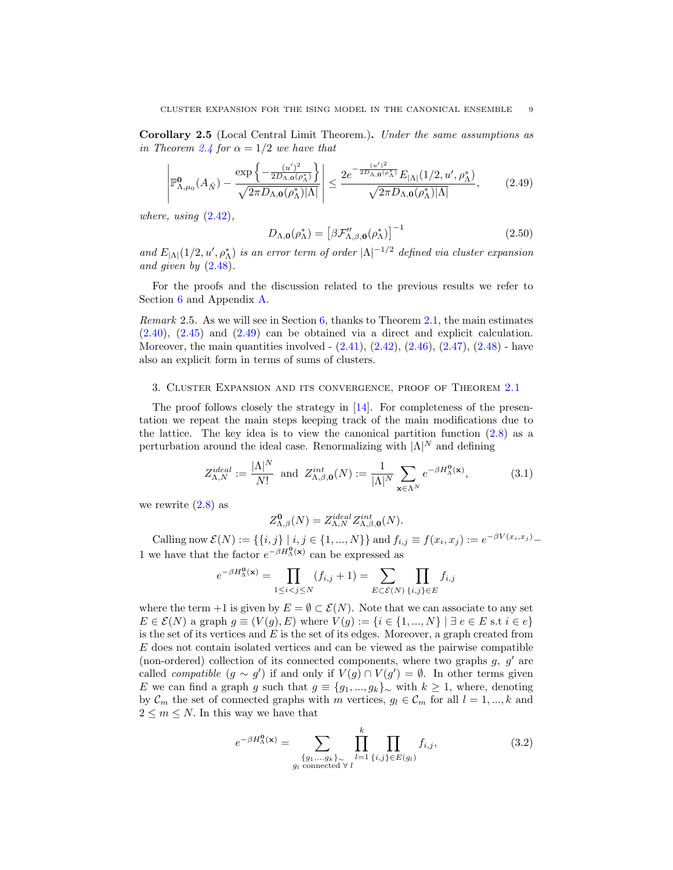<span id="page-8-1"></span>Corollary 2.5 (Local Central Limit Theorem.). Under the same assumptions as in Theorem [2.4](#page-7-0) for  $\alpha = 1/2$  we have that

<span id="page-8-2"></span>
$$
\left| \mathbb{P}^{\mathbf{0}}_{\Lambda,\mu_0}(A_{\tilde{N}}) - \frac{\exp\left\{-\frac{(u')^2}{2D_{\Lambda,\mathbf{0}}(\rho_{\Lambda}^*)}\right\}}{\sqrt{2\pi D_{\Lambda,\mathbf{0}}(\rho_{\Lambda}^*)|\Lambda|}} \right| \le \frac{2e^{-\frac{(u')^2}{2D_{\Lambda,\mathbf{0}}(\rho_{\Lambda}^*)}} E_{|\Lambda|}(1/2, u', \rho_{\Lambda}^*)}{\sqrt{2\pi D_{\Lambda,\mathbf{0}}(\rho_{\Lambda}^*)|\Lambda|}},\tag{2.49}
$$

where, using  $(2.42)$ ,

$$
D_{\Lambda,\mathbf{0}}(\rho_{\Lambda}^*) = \left[\beta \mathcal{F}_{\Lambda,\beta,\mathbf{0}}^{\prime\prime}(\rho_{\Lambda}^*)\right]^{-1} \tag{2.50}
$$

and  $E_{|\Lambda|}(1/2, u', \rho_{\Lambda}^*)$  is an error term of order  $|\Lambda|^{-1/2}$  defined via cluster expansion and given by [\(2.48\)](#page-7-3).

For the proofs and the discussion related to the previous results we refer to Section [6](#page-24-0) and Appendix [A.](#page-28-1)

*Remark* 2.5. As we will see in Section [6,](#page-24-0) thanks to Theorem [2.1,](#page-4-0) the main estimates [\(2.40\)](#page-6-7), [\(2.45\)](#page-7-4) and [\(2.49\)](#page-8-2) can be obtained via a direct and explicit calculation. Moreover, the main quantities involved  $(2.41)$ ,  $(2.42)$ ,  $(2.46)$ ,  $(2.47)$ ,  $(2.48)$  - have also an explicit form in terms of sums of clusters.

#### <span id="page-8-0"></span>3. Cluster Expansion and its convergence, proof of Theorem [2.1](#page-4-0)

The proof follows closely the strategy in [\[14\]](#page-30-2). For completeness of the presentation we repeat the main steps keeping track of the main modifications due to the lattice. The key idea is to view the canonical partition function  $(2.8)$  as a perturbation around the ideal case. Renormalizing with  $|\Lambda|^N$  and defining

$$
Z_{\Lambda,N}^{ideal} := \frac{|\Lambda|^N}{N!} \text{ and } Z_{\Lambda,\beta,\mathbf{0}}^{int}(N) := \frac{1}{|\Lambda|^N} \sum_{\mathbf{x} \in \Lambda^N} e^{-\beta H_{\Lambda}^{\mathbf{0}}(\mathbf{x})}, \tag{3.1}
$$

we rewrite  $(2.8)$  as

<span id="page-8-3"></span>
$$
Z^{\mathbf{0}}_{\Lambda,\beta}(N) = Z^{ideal}_{\Lambda,N} Z^{int}_{\Lambda,\beta,\mathbf{0}}(N).
$$

Calling now  $\mathcal{E}(N) := \{ \{i, j\} \mid i, j \in \{1, ..., N\} \}$  and  $f_{i,j} \equiv f(x_i, x_j) := e^{-\beta V(x_i, x_j)} -$ 1 we have that the factor  $e^{-\beta H_{\Lambda}^{0}(\mathbf{x})}$  can be expressed as

$$
e^{-\beta H_{\Lambda}^0(\mathbf{x})} = \prod_{1 \le i < j \le N} (f_{i,j} + 1) = \sum_{E \subset \mathcal{E}(N)} \prod_{\{i,j\} \in E} f_{i,j}
$$

where the term +1 is given by  $E = \emptyset \subset \mathcal{E}(N)$ . Note that we can associate to any set  $E \in \mathcal{E}(N)$  a graph  $g \equiv (V(g), E)$  where  $V(g) := \{i \in \{1, ..., N\} \mid \exists e \in E \text{ s.t } i \in e\}$ is the set of its vertices and  $E$  is the set of its edges. Moreover, a graph created from E does not contain isolated vertices and can be viewed as the pairwise compatible (non-ordered) collection of its connected components, where two graphs  $q, q'$  are called *compatible*  $(g \sim g')$  if and only if  $V(g) \cap V(g') = \emptyset$ . In other terms given E we can find a graph g such that  $g \equiv \{g_1, ..., g_k\}$ <sub>~</sub> with  $k \ge 1$ , where, denoting by  $\mathcal{C}_m$  the set of connected graphs with m vertices,  $g_l \in \mathcal{C}_m$  for all  $l = 1, ..., k$  and  $2 \leq m \leq N$ . In this way we have that

$$
e^{-\beta H_{\Lambda}^{\mathbf{0}}(\mathbf{x})} = \sum_{\substack{\{g_1,\ldots,g_k\}_{\alpha} \\ g_l \text{ connected } \forall l}} \prod_{l=1}^k \prod_{\{i,j\} \in E(g_l)} f_{i,j},\tag{3.2}
$$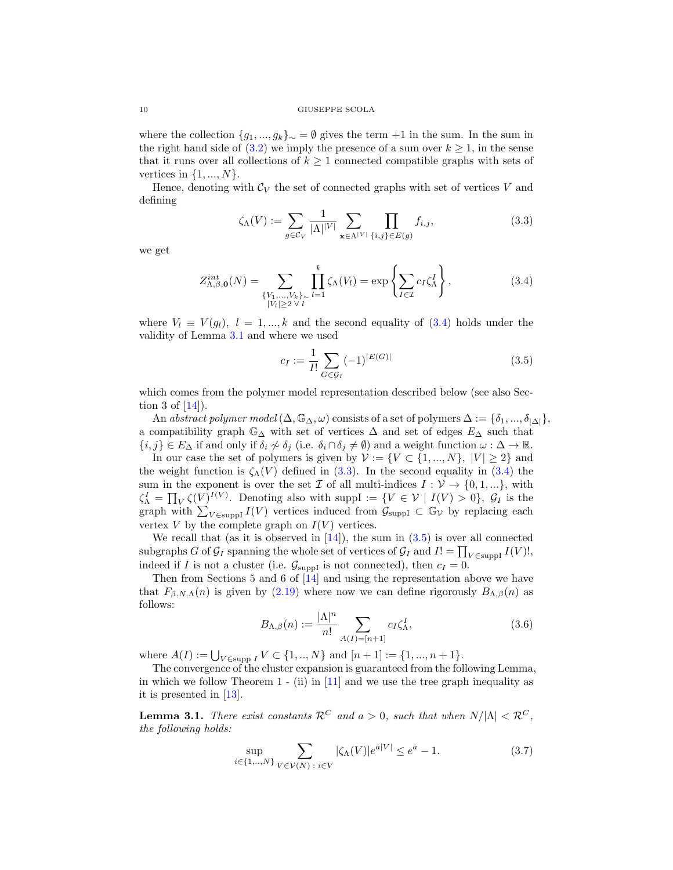where the collection  $\{g_1, ..., g_k\}_{\sim} = \emptyset$  gives the term +1 in the sum. In the sum in the right hand side of [\(3.2\)](#page-8-3) we imply the presence of a sum over  $k \geq 1$ , in the sense that it runs over all collections of  $k \geq 1$  connected compatible graphs with sets of vertices in  $\{1, ..., N\}$ .

Hence, denoting with  $\mathcal{C}_V$  the set of connected graphs with set of vertices V and defining

<span id="page-9-3"></span>
$$
\zeta_{\Lambda}(V) := \sum_{g \in \mathcal{C}_V} \frac{1}{|\Lambda| |V|} \sum_{\mathbf{x} \in \Lambda^{|V|}} \prod_{\{i,j\} \in E(g)} f_{i,j},\tag{3.3}
$$

we get

<span id="page-9-2"></span>
$$
Z_{\Lambda,\beta,\mathbf{0}}^{int}(N) = \sum_{\substack{\{V_1,\ldots,V_k\}_{\sim} \\ |V_l| \ge 2 \ \forall \ l}} \prod_{l=1}^k \zeta_{\Lambda}(V_l) = \exp\left\{\sum_{I \in \mathcal{I}} c_I \zeta_{\Lambda}^I\right\},\tag{3.4}
$$

where  $V_l \equiv V(g_l)$ ,  $l = 1, ..., k$  and the second equality of [\(3.4\)](#page-9-2) holds under the validity of Lemma [3.1](#page-9-0) and where we used

<span id="page-9-4"></span>
$$
c_I := \frac{1}{I!} \sum_{G \in \mathcal{G}_I} (-1)^{|E(G)|} \tag{3.5}
$$

which comes from the polymer model representation described below (see also Section 3 of  $[14]$ ).

An abstract polymer model  $(\Delta, \mathbb{G}_{\Delta}, \omega)$  consists of a set of polymers  $\Delta := {\delta_1, ..., \delta_{|\Delta|}}$ , a compatibility graph  $\mathbb{G}_{\Delta}$  with set of vertices  $\Delta$  and set of edges  $E_{\Delta}$  such that  ${i, j} \in E_\Delta$  if and only if  $\delta_i \nsim \delta_j$  (i.e.  $\delta_i \cap \delta_j \neq \emptyset$ ) and a weight function  $\omega : \Delta \to \mathbb{R}$ .

In our case the set of polymers is given by  $\mathcal{V} := \{V \subset \{1, ..., N\}, |V| \geq 2\}$  and the weight function is  $\zeta_{\Lambda}(V)$  defined in [\(3.3\)](#page-9-3). In the second equality in [\(3.4\)](#page-9-2) the sum in the exponent is over the set  $\mathcal I$  of all multi-indices  $I: \mathcal V \to \{0, 1, ...\}$ , with  $\zeta^I_{\Lambda} = \prod_V \zeta(V)^{I(V)}$ . Denoting also with supp $I := \{V \in \mathcal{V} \mid I(V) > 0\}$ ,  $\mathcal{G}_I$  is the graph with  $\sum_{V \in \text{suppI}} I(V)$  vertices induced from  $\mathcal{G}_{\text{suppI}} \subset \mathbb{G}_V$  by replacing each vertex  $V$  by the complete graph on  $I(V)$  vertices.

We recall that (as it is observed in  $[14]$ ), the sum in  $(3.5)$  is over all connected subgraphs G of  $\mathcal{G}_I$  spanning the whole set of vertices of  $\mathcal{G}_I$  and  $I! = \prod_{V \in \text{suppI}} I(V)!$ , indeed if I is not a cluster (i.e.  $\mathcal{G}_{\text{suppI}}$  is not connected), then  $c_I = 0$ .

Then from Sections 5 and 6 of [\[14\]](#page-30-2) and using the representation above we have that  $F_{\beta,N,\Lambda}(n)$  is given by [\(2.19\)](#page-4-1) where now we can define rigorously  $B_{\Lambda,\beta}(n)$  as follows:

<span id="page-9-1"></span>
$$
B_{\Lambda,\beta}(n) := \frac{|\Lambda|^n}{n!} \sum_{A(I)=[n+1]} c_I \zeta_\Lambda^I,
$$
\n(3.6)

where  $A(I) := \bigcup_{V \in \text{supp } I} V \subset \{1, ..., N\}$  and  $[n+1] := \{1, ..., n+1\}.$ 

The convergence of the cluster expansion is guaranteed from the following Lemma, in which we follow Theorem 1 - (ii) in  $[11]$  and we use the tree graph inequality as it is presented in [\[13\]](#page-30-13).

<span id="page-9-0"></span>**Lemma 3.1.** There exist constants  $\mathcal{R}^C$  and  $a > 0$ , such that when  $N/|\Lambda| < \mathcal{R}^C$ , the following holds:

<span id="page-9-5"></span>
$$
\sup_{i \in \{1, ..., N\}} \sum_{V \in \mathcal{V}(N) \; : \; i \in V} |\zeta_{\Lambda}(V)| e^{a|V|} \le e^a - 1. \tag{3.7}
$$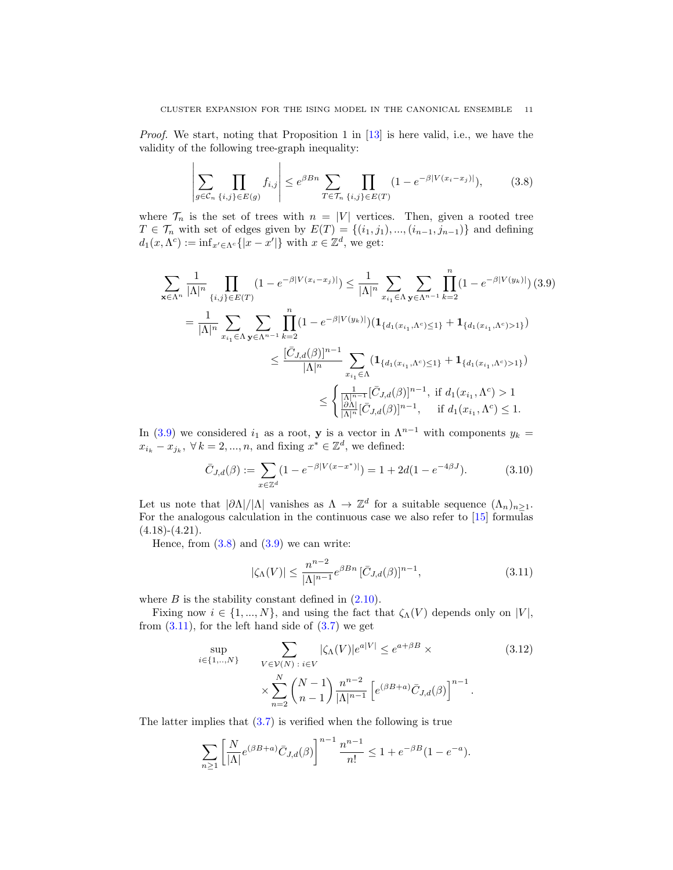*Proof.* We start, noting that Proposition 1 in  $[13]$  is here valid, i.e., we have the validity of the following tree-graph inequality:

 $\overline{1}$ 

<span id="page-10-1"></span>
$$
\left| \sum_{g \in \mathcal{C}_n} \prod_{\{i,j\} \in E(g)} f_{i,j} \right| \le e^{\beta B n} \sum_{T \in \mathcal{T}_n} \prod_{\{i,j\} \in E(T)} (1 - e^{-\beta |V(x_i - x_j)|}), \tag{3.8}
$$

where  $\mathcal{T}_n$  is the set of trees with  $n = |V|$  vertices. Then, given a rooted tree  $T \in \mathcal{T}_n$  with set of edges given by  $E(T) = \{(i_1, j_1), ..., (i_{n-1}, j_{n-1})\}$  and defining  $d_1(x, \Lambda^c) := \inf_{x' \in \Lambda^c} \{|x - x'|\}$  with  $x \in \mathbb{Z}^d$ , we get:

<span id="page-10-0"></span>
$$
\sum_{\mathbf{x}\in\Lambda^{n}}\frac{1}{|\Lambda|^{n}}\prod_{\{i,j\}\in E(T)}(1-e^{-\beta|V(x_{i}-x_{j})|}) \leq \frac{1}{|\Lambda|^{n}}\sum_{x_{i_{1}}\in\Lambda}\sum_{\mathbf{y}\in\Lambda^{n-1}}\prod_{k=2}^{n}(1-e^{-\beta|V(y_{k})|}) (3.9)
$$
\n
$$
=\frac{1}{|\Lambda|^{n}}\sum_{x_{i_{1}}\in\Lambda}\sum_{\mathbf{y}\in\Lambda^{n-1}}\prod_{k=2}^{n}(1-e^{-\beta|V(y_{k})|}) (\mathbf{1}_{\{d_{1}(x_{i_{1}},\Lambda^{c})\leq 1\}}+\mathbf{1}_{\{d_{1}(x_{i_{1}},\Lambda^{c})>1\}})
$$
\n
$$
\leq \frac{[\bar{C}_{J,d}(\beta)]^{n-1}}{|\Lambda|^{n}}\sum_{x_{i_{1}}\in\Lambda}(\mathbf{1}_{\{d_{1}(x_{i_{1}},\Lambda^{c})\leq 1\}}+\mathbf{1}_{\{d_{1}(x_{i_{1}},\Lambda^{c})>1\}})
$$
\n
$$
\leq \begin{cases}\frac{1}{|\Lambda|^{n-1}}[\bar{C}_{J,d}(\beta)]^{n-1}, & \text{if } d_{1}(x_{i_{1}},\Lambda^{c})>1\\ \frac{|\partial\Lambda|}{|\Lambda|^{n}}[\bar{C}_{J,d}(\beta)]^{n-1}, & \text{if } d_{1}(x_{i_{1}},\Lambda^{c})\leq 1.\end{cases}
$$

In [\(3.9\)](#page-10-0) we considered  $i_1$  as a root, y is a vector in  $\Lambda^{n-1}$  with components  $y_k =$  $x_{i_k} - x_{j_k}, \ \forall \, k = 2, ..., n, \text{ and fixing } x^* \in \mathbb{Z}^d, \text{ we defined:}$ 

<span id="page-10-3"></span>
$$
\bar{C}_{J,d}(\beta) := \sum_{x \in \mathbb{Z}^d} (1 - e^{-\beta |V(x - x^*)|}) = 1 + 2d(1 - e^{-4\beta J}). \tag{3.10}
$$

Let us note that  $|\partial \Lambda|/|\Lambda|$  vanishes as  $\Lambda \to \mathbb{Z}^d$  for a suitable sequence  $(\Lambda_n)_{n\geq 1}$ . For the analogous calculation in the continuous case we also refer to [\[15\]](#page-30-14) formulas  $(4.18)-(4.21).$ 

Hence, from  $(3.8)$  and  $(3.9)$  we can write:

 $\mathbf{L}$ 

<span id="page-10-2"></span>
$$
|\zeta_{\Lambda}(V)| \le \frac{n^{n-2}}{|\Lambda|^{n-1}} e^{\beta B n} \left[ \bar{C}_{J,d}(\beta) \right]^{n-1},\tag{3.11}
$$

where  $B$  is the stability constant defined in  $(2.10)$ .

Fixing now  $i \in \{1, ..., N\}$ , and using the fact that  $\zeta_{\Lambda}(V)$  depends only on |V|, from  $(3.11)$ , for the left hand side of  $(3.7)$  we get

<span id="page-10-4"></span>
$$
\sup_{i \in \{1,\ldots,N\}} \sum_{V \in \mathcal{V}(N) \,:\, i \in V} |\zeta_{\Lambda}(V)| e^{a|V|} \le e^{a+\beta B} \times \tag{3.12}
$$
\n
$$
\times \sum_{n=2}^{N} {N-1 \choose n-1} \frac{n^{n-2}}{|\Lambda|^{n-1}} \left[ e^{(\beta B+a)} \bar{C}_{J,d}(\beta) \right]^{n-1}.
$$

The latter implies that  $(3.7)$  is verified when the following is true

$$
\sum_{n\geq 1} \left[ \frac{N}{|\Lambda|} e^{(\beta B + a)} \bar{C}_{J,d}(\beta) \right]^{n-1} \frac{n^{n-1}}{n!} \leq 1 + e^{-\beta B} (1 - e^{-a}).
$$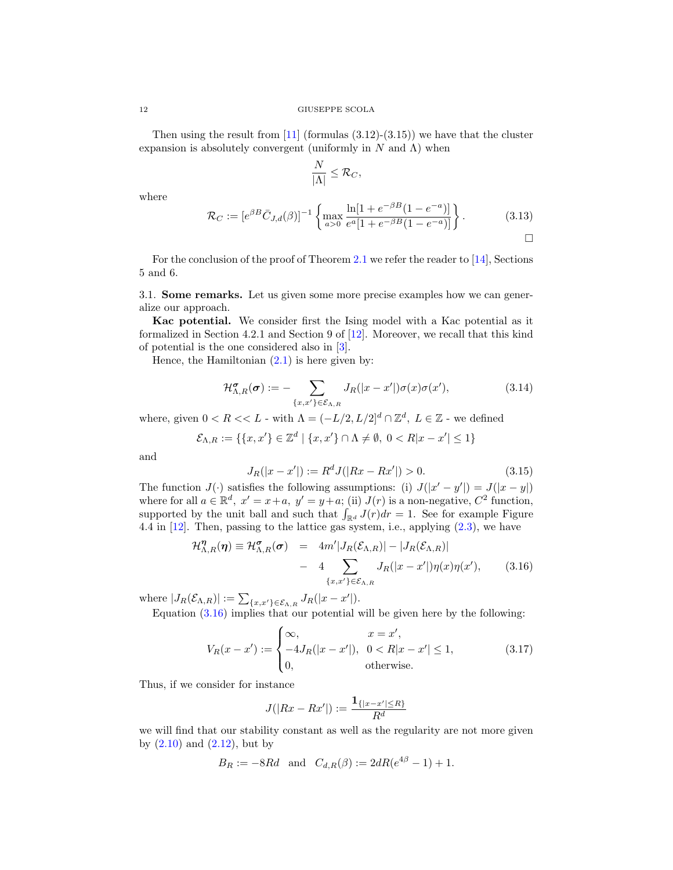Then using the result from  $[11]$  (formulas  $(3.12)-(3.15)$ ) we have that the cluster expansion is absolutely convergent (uniformly in  $N$  and  $\Lambda$ ) when

<span id="page-11-2"></span>
$$
\frac{N}{|\Lambda|} \leq \mathcal{R}_C,
$$

where

$$
\mathcal{R}_C := [e^{\beta B} \bar{C}_{J,d}(\beta)]^{-1} \left\{ \max_{a>0} \frac{\ln[1 + e^{-\beta B} (1 - e^{-a})]}{e^a [1 + e^{-\beta B} (1 - e^{-a})]} \right\}.
$$
 (3.13)

For the conclusion of the proof of Theorem [2.1](#page-4-0) we refer the reader to [\[14\]](#page-30-2), Sections 5 and 6.

<span id="page-11-0"></span>3.1. Some remarks. Let us given some more precise examples how we can generalize our approach.

Kac potential. We consider first the Ising model with a Kac potential as it formalized in Section 4.2.1 and Section 9 of [\[12\]](#page-30-15). Moreover, we recall that this kind of potential is the one considered also in [\[3\]](#page-30-6).

Hence, the Hamiltonian  $(2.1)$  is here given by:

$$
\mathcal{H}_{\Lambda,R}^{\sigma}(\boldsymbol{\sigma}) := -\sum_{\{x,x'\} \in \mathcal{E}_{\Lambda,R}} J_R(|x-x'|) \sigma(x) \sigma(x'),\tag{3.14}
$$

where, given  $0 < R < L$  - with  $\Lambda = (-L/2, L/2]^d \cap \mathbb{Z}^d$ ,  $L \in \mathbb{Z}$  - we defined

$$
\mathcal{E}_{\Lambda,R} := \{ \{x, x'\} \in \mathbb{Z}^d \mid \{x, x'\} \cap \Lambda \neq \emptyset, \ 0 < R|x - x'| \le 1 \}
$$

and

$$
J_R(|x - x'|) := R^d J(|Rx - Rx'|) > 0.
$$
\n(3.15)

The function  $J(\cdot)$  satisfies the following assumptions: (i)  $J(|x'-y'|) = J(|x-y|)$ where for all  $a \in \mathbb{R}^d$ ,  $x' = x + a$ ,  $y' = y + a$ ; (ii)  $J(r)$  is a non-negative,  $C^2$  function, supported by the unit ball and such that  $\int_{\mathbb{R}^d} J(r) dr = 1$ . See for example Figure 4.4 in [\[12\]](#page-30-15). Then, passing to the lattice gas system, i.e., applying [\(2.3\)](#page-2-7), we have

<span id="page-11-1"></span>
$$
\mathcal{H}_{\Lambda,R}^{\eta}(\eta) \equiv \mathcal{H}_{\Lambda,R}^{\sigma}(\sigma) = 4m'|J_R(\mathcal{E}_{\Lambda,R})| - |J_R(\mathcal{E}_{\Lambda,R})|
$$
  
- 4 
$$
\sum_{\{x,x'\} \in \mathcal{E}_{\Lambda,R}} J_R(|x-x'|)\eta(x)\eta(x'), \qquad (3.16)
$$

where  $|J_R(\mathcal{E}_{\Lambda,R})| := \sum_{\{x,x'\}\in \mathcal{E}_{\Lambda,R}} J_R(|x-x'|).$ 

Equation [\(3.16\)](#page-11-1) implies that our potential will be given here by the following:

$$
V_R(x - x') := \begin{cases} \infty, & x = x', \\ -4J_R(|x - x'|), & 0 < R|x - x'| \le 1, \\ 0, & \text{otherwise.} \end{cases}
$$
 (3.17)

Thus, if we consider for instance

$$
J(|Rx - Rx'|) := \frac{\mathbf{1}_{\{|x - x'| \le R\}}}{R^d}
$$

we will find that our stability constant as well as the regularity are not more given by  $(2.10)$  and  $(2.12)$ , but by

$$
B_R := -8Rd
$$
 and  $C_{d,R}(\beta) := 2dR(e^{4\beta} - 1) + 1$ .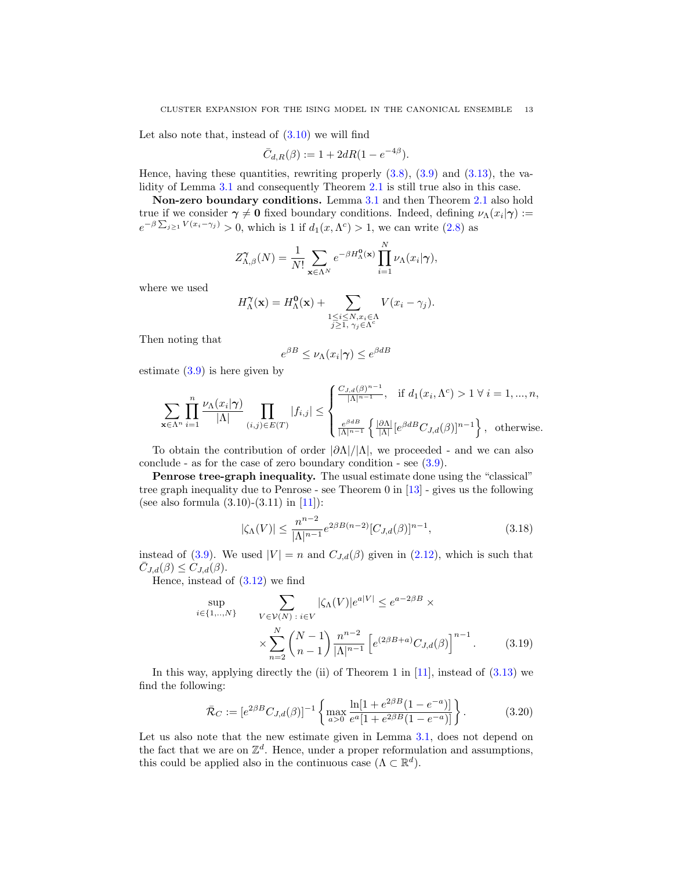Let also note that, instead of  $(3.10)$  we will find

$$
\bar{C}_{d,R}(\beta) := 1 + 2dR(1 - e^{-4\beta}).
$$

Hence, having these quantities, rewriting properly  $(3.8)$ ,  $(3.9)$  and  $(3.13)$ , the va-lidity of Lemma [3.1](#page-9-0) and consequently Theorem [2.1](#page-4-0) is still true also in this case.

Non-zero boundary conditions. Lemma [3.1](#page-9-0) and then Theorem [2.1](#page-4-0) also hold true if we consider  $\gamma \neq 0$  fixed boundary conditions. Indeed, defining  $\nu_{\Lambda}(x_i|\gamma) :=$  $e^{-\beta \sum_{j\geq 1} V(x_i - \gamma_j)} > 0$ , which is 1 if  $d_1(x, \Lambda^c) > 1$ , we can write [\(2.8\)](#page-2-6) as

$$
Z^{\gamma}_{\Lambda,\beta}(N) = \frac{1}{N!} \sum_{\mathbf{x} \in \Lambda^N} e^{-\beta H^0_{\Lambda}(\mathbf{x})} \prod_{i=1}^N \nu_{\Lambda}(x_i|\gamma),
$$

where we used

$$
H_{\Lambda}^{\gamma}(\mathbf{x}) = H_{\Lambda}^{\mathbf{0}}(\mathbf{x}) + \sum_{\substack{1 \leq i \leq N, x_i \in \Lambda \\ j \geq 1, \ \gamma_j \in \Lambda^c}} V(x_i - \gamma_j).
$$

Then noting that

$$
e^{\beta B} \le \nu_{\Lambda}(x_i|\boldsymbol{\gamma}) \le e^{\beta dB}
$$

estimate  $(3.9)$  is here given by

$$
\sum_{\mathbf{x}\in\Lambda^n}\prod_{i=1}^n\frac{\nu_\Lambda(x_i|\boldsymbol{\gamma})}{|\Lambda|}\prod_{(i,j)\in E(T)}|f_{i,j}|\leq \begin{cases} \frac{C_{J,d}(\beta)^{n-1}}{|\Lambda|^{n-1}}, & \text{if }d_1(x_i,\Lambda^c)>1\ \forall\ i=1,\dots,n, \\ \frac{e^{\beta dB}}{|\Lambda|^{n-1}}\left\{\frac{|\partial\Lambda|}{|\Lambda|}[e^{\beta dB}C_{J,d}(\beta)]^{n-1}\right\}, & \text{otherwise.} \end{cases}
$$

To obtain the contribution of order  $|\partial \Lambda|/|\Lambda|$ , we proceeded - and we can also conclude - as for the case of zero boundary condition - see [\(3.9\)](#page-10-0).

Penrose tree-graph inequality. The usual estimate done using the "classical" tree graph inequality due to Penrose - see Theorem 0 in [\[13\]](#page-30-13) - gives us the following (see also formula  $(3.10)-(3.11)$  in [\[11\]](#page-30-12)):

$$
|\zeta_{\Lambda}(V)| \le \frac{n^{n-2}}{|\Lambda|^{n-1}} e^{2\beta B(n-2)} [C_{J,d}(\beta)]^{n-1},
$$
\n(3.18)

instead of [\(3.9\)](#page-10-0). We used  $|V| = n$  and  $C_{J,d}(\beta)$  given in [\(2.12\)](#page-3-2), which is such that  $\overline{C}_{J,d}(\beta) \leq C_{J,d}(\beta).$ 

Hence, instead of [\(3.12\)](#page-10-4) we find

$$
\sup_{i \in \{1, ..., N\}} \sum_{V \in \mathcal{V}(N) \, : \, i \in V} |\zeta_{\Lambda}(V)| e^{a|V|} \le e^{a-2\beta B} \times \times \sum_{n=2}^{N} {N-1 \choose n-1} \frac{n^{n-2}}{|\Lambda|^{n-1}} \left[ e^{(2\beta B + a)} C_{J,d}(\beta) \right]^{n-1}.
$$
 (3.19)

In this way, applying directly the (ii) of Theorem 1 in  $[11]$ , instead of  $(3.13)$  we find the following:

<span id="page-12-0"></span>
$$
\bar{\mathcal{R}}_C := [e^{2\beta B} C_{J,d}(\beta)]^{-1} \left\{ \max_{a>0} \frac{\ln[1 + e^{2\beta B} (1 - e^{-a})]}{e^a [1 + e^{2\beta B} (1 - e^{-a})]} \right\}.
$$
 (3.20)

Let us also note that the new estimate given in Lemma [3.1,](#page-9-0) does not depend on the fact that we are on  $\mathbb{Z}^d$ . Hence, under a proper reformulation and assumptions, this could be applied also in the continuous case  $(\Lambda \subset \mathbb{R}^d)$ .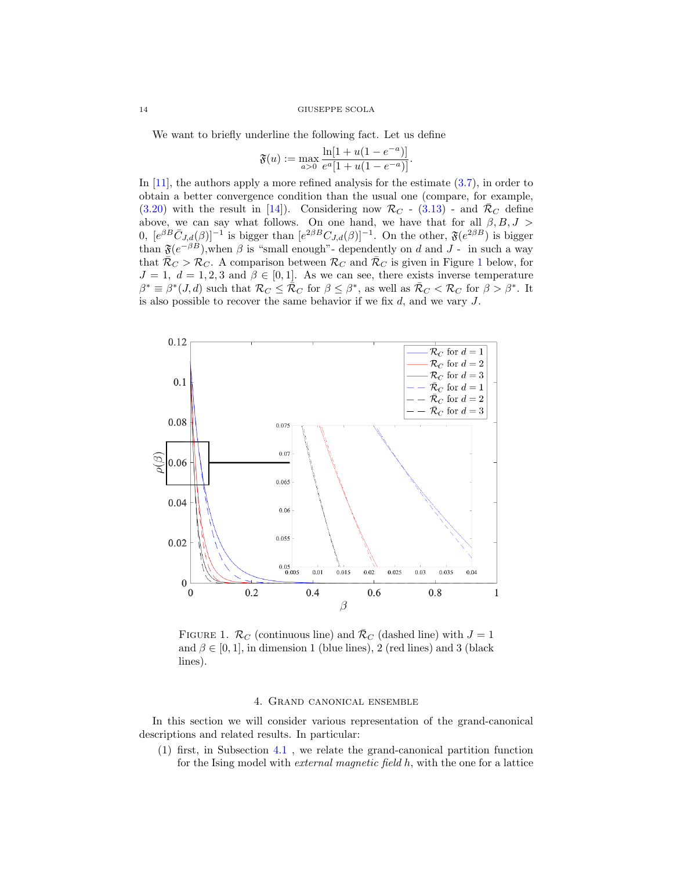We want to briefly underline the following fact. Let us define

$$
\mathfrak{F}(u) := \max_{a>0} \frac{\ln[1 + u(1 - e^{-a})]}{e^a [1 + u(1 - e^{-a})]}.
$$

In [\[11\]](#page-30-12), the authors apply a more refined analysis for the estimate [\(3.7\)](#page-9-5), in order to obtain a better convergence condition than the usual one (compare, for example, [\(3.20\)](#page-12-0) with the result in [\[14\]](#page-30-2)). Considering now  $\mathcal{R}_C$  - [\(3.13\)](#page-11-2) - and  $\bar{\mathcal{R}}_C$  define above, we can say what follows. On one hand, we have that for all  $\beta, B, J >$ 0,  $[e^{\beta B}\overline{C}_{J,d}(\beta)]^{-1}$  is bigger than  $[e^{2\beta B}C_{J,d}(\beta)]^{-1}$ . On the other,  $\mathfrak{F}(e^{2\beta B})$  is bigger than  $\mathfrak{F}(e^{-\beta B})$ , when  $\beta$  is "small enough"- dependently on d and J - in such a way that  $\bar{\mathcal{R}}_C > \mathcal{R}_C$ . A comparison between  $\mathcal{R}_C$  and  $\bar{\mathcal{R}}_C$  is given in Figure [1](#page-13-1) below, for  $J = 1, d = 1, 2, 3$  and  $\beta \in [0, 1]$ . As we can see, there exists inverse temperature  $\beta^* \equiv \beta^*(J, d)$  such that  $\mathcal{R}_C \leq \bar{\mathcal{R}}_C$  for  $\beta \leq \beta^*$ , as well as  $\bar{\mathcal{R}}_C < \mathcal{R}_C$  for  $\beta > \beta^*$ . It is also possible to recover the same behavior if we fix  $d$ , and we vary  $J$ .



FIGURE 1.  $\mathcal{R}_C$  (continuous line) and  $\mathcal{R}_C$  (dashed line) with  $J = 1$ and  $\beta \in [0, 1]$ , in dimension 1 (blue lines), 2 (red lines) and 3 (black lines).

# <span id="page-13-1"></span>4. Grand canonical ensemble

<span id="page-13-0"></span>In this section we will consider various representation of the grand-canonical descriptions and related results. In particular:

(1) first, in Subsection [4.1](#page-14-0) , we relate the grand-canonical partition function for the Ising model with external magnetic field h, with the one for a lattice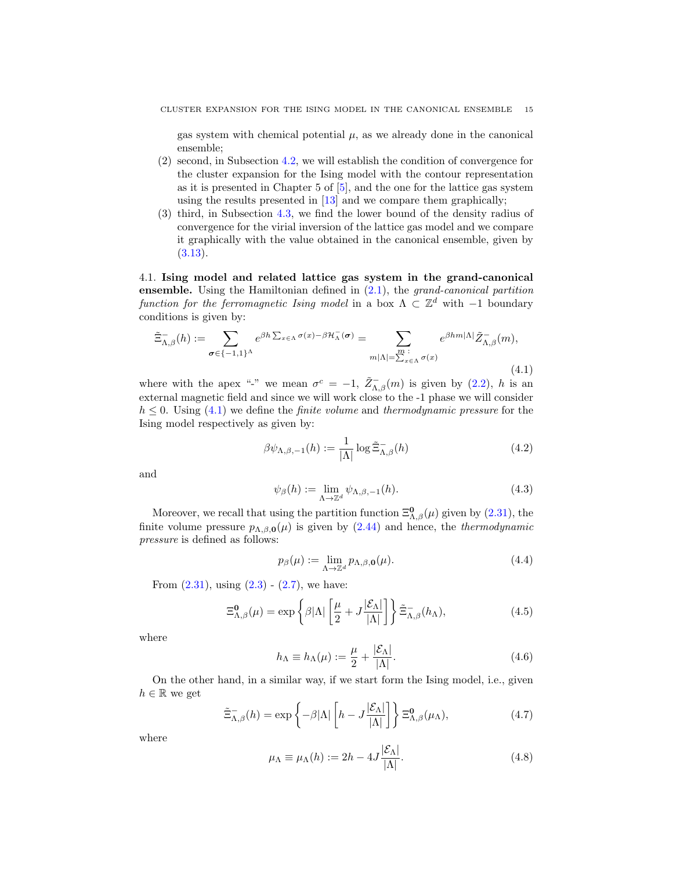gas system with chemical potential  $\mu$ , as we already done in the canonical ensemble;

- (2) second, in Subsection [4.2,](#page-15-0) we will establish the condition of convergence for the cluster expansion for the Ising model with the contour representation as it is presented in Chapter 5 of [\[5\]](#page-30-7), and the one for the lattice gas system using the results presented in [\[13\]](#page-30-13) and we compare them graphically;
- (3) third, in Subsection [4.3,](#page-18-0) we find the lower bound of the density radius of convergence for the virial inversion of the lattice gas model and we compare it graphically with the value obtained in the canonical ensemble, given by  $(3.13).$  $(3.13).$

<span id="page-14-0"></span>4.1. Ising model and related lattice gas system in the grand-canonical ensemble. Using the Hamiltonian defined in  $(2.1)$ , the grand-canonical partition function for the ferromagnetic Ising model in a box  $\Lambda \subset \mathbb{Z}^d$  with -1 boundary conditions is given by:

<span id="page-14-1"></span>
$$
\tilde{\Xi}_{\Lambda,\beta}^{-}(h) := \sum_{\sigma \in \{-1,1\}^{\Lambda}} e^{\beta h \sum_{x \in \Lambda} \sigma(x) - \beta \mathcal{H}_{\Lambda}^{-}(\sigma)} = \sum_{\substack{m \; : \\ m|\Lambda| = \sum_{x \in \Lambda} \sigma(x)}} e^{\beta h m|\Lambda|} \tilde{Z}_{\Lambda,\beta}^{-}(m),
$$
\n(4.1)

where with the apex "-" we mean  $\sigma^c = -1$ ,  $\tilde{Z}_{\Lambda,\beta}^{-}(m)$  is given by [\(2.2\)](#page-2-2), h is an external magnetic field and since we will work close to the -1 phase we will consider  $h \leq 0$ . Using [\(4.1\)](#page-14-1) we define the *finite volume* and *thermodynamic pressure* for the Ising model respectively as given by:

$$
\beta \psi_{\Lambda,\beta,-1}(h) := \frac{1}{|\Lambda|} \log \tilde{\Xi}_{\Lambda,\beta}^{-}(h)
$$
\n(4.2)

and

<span id="page-14-5"></span>
$$
\psi_{\beta}(h) := \lim_{\Lambda \to \mathbb{Z}^d} \psi_{\Lambda,\beta,-1}(h). \tag{4.3}
$$

Moreover, we recall that using the partition function  $\Xi_{\Lambda,\beta}^{0}(\mu)$  given by [\(2.31\)](#page-6-0), the finite volume pressure  $p_{\Lambda,\beta,\mathbf{0}}(\mu)$  is given by [\(2.44\)](#page-7-7) and hence, the *thermodynamic* pressure is defined as follows:

<span id="page-14-2"></span>
$$
p_{\beta}(\mu) := \lim_{\Lambda \to \mathbb{Z}^d} p_{\Lambda,\beta,\mathbf{0}}(\mu). \tag{4.4}
$$

From  $(2.31)$ , using  $(2.3) - (2.7)$  $(2.3) - (2.7)$  $(2.3) - (2.7)$ , we have:

<span id="page-14-4"></span>
$$
\Xi_{\Lambda,\beta}^{0}(\mu) = \exp\left\{\beta|\Lambda|\left[\frac{\mu}{2} + J\frac{|\mathcal{E}_{\Lambda}|}{|\Lambda|}\right]\right\} \tilde{\Xi}_{\Lambda,\beta}^{-}(h_{\Lambda}),\tag{4.5}
$$

where

<span id="page-14-6"></span>
$$
h_{\Lambda} \equiv h_{\Lambda}(\mu) := \frac{\mu}{2} + \frac{|\mathcal{E}_{\Lambda}|}{|\Lambda|}.
$$
\n(4.6)

On the other hand, in a similar way, if we start form the Ising model, i.e., given  $h \in \mathbb{R}$  we get

$$
\tilde{\Xi}_{\Lambda,\beta}^{-}(h) = \exp\left\{-\beta|\Lambda|\left[h - J\frac{|\mathcal{E}_{\Lambda}|}{|\Lambda|}\right]\right\} \Xi_{\Lambda,\beta}^{0}(\mu_{\Lambda}),\tag{4.7}
$$

where

<span id="page-14-3"></span>
$$
\mu_{\Lambda} \equiv \mu_{\Lambda}(h) := 2h - 4J \frac{|\mathcal{E}_{\Lambda}|}{|\Lambda|}.
$$
\n(4.8)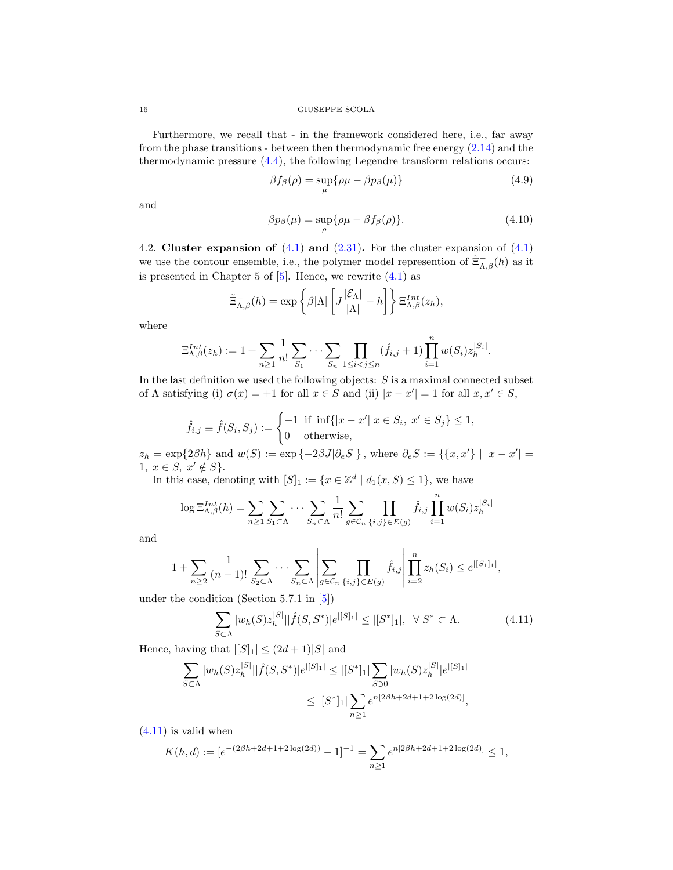Furthermore, we recall that - in the framework considered here, i.e., far away from the phase transitions - between then thermodynamic free energy [\(2.14\)](#page-3-3) and the thermodynamic pressure [\(4.4\)](#page-14-2), the following Legendre transform relations occurs:

<span id="page-15-2"></span>
$$
\beta f_{\beta}(\rho) = \sup_{\mu} \{ \rho \mu - \beta p_{\beta}(\mu) \}
$$
\n(4.9)

and

<span id="page-15-3"></span>
$$
\beta p_{\beta}(\mu) = \sup_{\rho} \{ \rho \mu - \beta f_{\beta}(\rho) \}.
$$
 (4.10)

<span id="page-15-0"></span>4.2. Cluster expansion of  $(4.1)$  and  $(2.31)$ . For the cluster expansion of  $(4.1)$ we use the contour ensemble, i.e., the polymer model represention of  $\tilde{\Xi}_{\Lambda,\beta}^{-}(h)$  as it is presented in Chapter 5 of  $[5]$ . Hence, we rewrite  $(4.1)$  as

<span id="page-15-1"></span>
$$
\tilde{\Xi}_{\Lambda,\beta}^{-}(h) = \exp\left\{\beta|\Lambda|\left[J\frac{|\mathcal{E}_{\Lambda}|}{|\Lambda|} - h\right]\right\} \Xi_{\Lambda,\beta}^{Int}(z_h),
$$

where

$$
\Xi_{\Lambda,\beta}^{Int}(z_h) := 1 + \sum_{n \geq 1} \frac{1}{n!} \sum_{S_1} \cdots \sum_{S_n} \prod_{1 \leq i < j \leq n} (\hat{f}_{i,j} + 1) \prod_{i=1}^n w(S_i) z_h^{|S_i|}.
$$

In the last definition we used the following objects:  $S$  is a maximal connected subset of  $\Lambda$  satisfying (i)  $\sigma(x) = +1$  for all  $x \in S$  and (ii)  $|x - x'| = 1$  for all  $x, x' \in S$ ,

$$
\hat{f}_{i,j} \equiv \hat{f}(S_i, S_j) := \begin{cases} -1 & \text{if } \inf\{|x - x'| \ x \in S_i, \ x' \in S_j\} \le 1, \\ 0 & \text{otherwise,} \end{cases}
$$

 $z_h = \exp\{2\beta h\}$  and  $w(S) := \exp\{-2\beta J|\partial_e S|\}$ , where  $\partial_e S := \{\{x, x'\} \mid |x - x'| =$ 1,  $x \in S$ ,  $x' \notin S$ .

In this case, denoting with  $[S]_1 := \{x \in \mathbb{Z}^d \mid d_1(x, S) \leq 1\}$ , we have

$$
\log \Xi_{\Lambda,\beta}^{Int}(h) = \sum_{n\geq 1} \sum_{S_1 \subset \Lambda} \cdots \sum_{S_n \subset \Lambda} \frac{1}{n!} \sum_{g \in \mathcal{C}_n} \prod_{\{i,j\} \in E(g)} \hat{f}_{i,j} \prod_{i=1}^n w(S_i) z_h^{|S_i|}
$$

and

$$
1 + \sum_{n \ge 2} \frac{1}{(n-1)!} \sum_{S_2 \subset \Lambda} \cdots \sum_{S_n \subset \Lambda} \left| \sum_{g \in \mathcal{C}_n} \prod_{\{i,j\} \in E(g)} \hat{f}_{i,j} \right| \prod_{i=2}^n z_h(S_i) \le e^{\lfloor |S_1|_1 \rfloor},
$$

under the condition (Section 5.7.1 in [\[5\]](#page-30-7))

$$
\sum_{S \subset \Lambda} |w_h(S) z_h^{|S|} || \hat{f}(S, S^*) | e^{|[S]_1|} \le |[S^*]_1|, \ \ \forall \ S^* \subset \Lambda. \tag{4.11}
$$

Hence, having that  $||S||_1 \leq (2d+1)|S|$  and

$$
\sum_{S \subset \Lambda} |w_h(S)z_h^{|S|}||\hat{f}(S, S^*)|e^{|S|_1|} \le |[S^*]_1| \sum_{S \ni 0} |w_h(S)z_h^{|S|}|e^{|S|_1|}
$$
  

$$
\le |[S^*]_1| \sum_{n \ge 1} e^{n[2\beta h + 2d + 1 + 2\log(2d)]},
$$

 $(4.11)$  is valid when

$$
K(h,d) := [e^{-(2\beta h + 2d + 1 + 2\log(2d))} - 1]^{-1} = \sum_{n \ge 1} e^{n[2\beta h + 2d + 1 + 2\log(2d)]} \le 1,
$$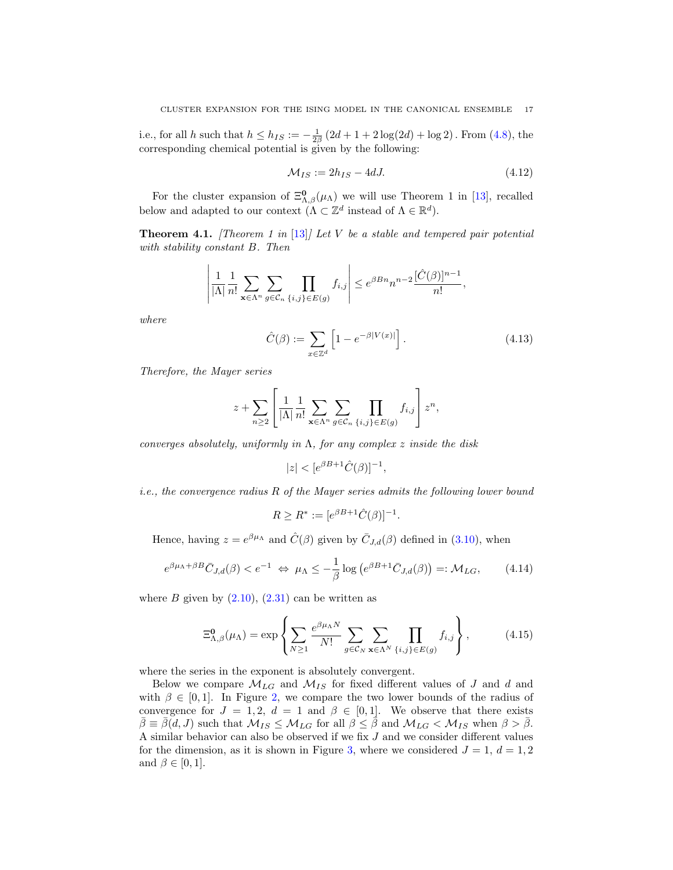i.e., for all h such that  $h \le h_{IS} := -\frac{1}{2\beta} (2d + 1 + 2 \log(2d) + \log 2)$ . From [\(4.8\)](#page-14-3), the corresponding chemical potential is given by the following:

$$
\mathcal{M}_{IS} := 2h_{IS} - 4dJ. \tag{4.12}
$$

For the cluster expansion of  $\Xi_{\Lambda,\beta}^{0}(\mu_{\Lambda})$  we will use Theorem 1 in [\[13\]](#page-30-13), recalled below and adapted to our context  $(\Lambda \subset \mathbb{Z}^d$  instead of  $\Lambda \in \mathbb{R}^d$ .

<span id="page-16-1"></span>**Theorem 4.1.** [Theorem 1 in [\[13\]](#page-30-13)] Let V be a stable and tempered pair potential with stability constant B. Then

$$
\left|\frac{1}{|\Lambda|}\frac{1}{n!}\sum_{\mathbf{x}\in\Lambda^n}\sum_{g\in\mathcal{C}_n}\prod_{\{i,j\}\in E(g)}f_{i,j}\right|\leq e^{\beta Bn}n^{n-2}\frac{[\hat{C}(\beta)]^{n-1}}{n!},
$$

where

<span id="page-16-2"></span>
$$
\hat{C}(\beta) := \sum_{x \in \mathbb{Z}^d} \left[ 1 - e^{-\beta |V(x)|} \right]. \tag{4.13}
$$

Therefore, the Mayer series

$$
z + \sum_{n\geq 2} \left[ \frac{1}{|\Lambda|} \frac{1}{n!} \sum_{\mathbf{x} \in \Lambda^n} \sum_{g \in \mathcal{C}_n} \prod_{\{i,j\} \in E(g)} f_{i,j} \right] z^n,
$$

converges absolutely, uniformly in  $\Lambda$ , for any complex z inside the disk

$$
|z| < [e^{\beta B + 1} \hat{C}(\beta)]^{-1},
$$

i.e., the convergence radius R of the Mayer series admits the following lower bound

$$
R \ge R^* := [e^{\beta B + 1} \hat{C}(\beta)]^{-1}.
$$

Hence, having  $z = e^{\beta \mu_{\Lambda}}$  and  $\hat{C}(\beta)$  given by  $\bar{C}_{J,d}(\beta)$  defined in [\(3.10\)](#page-10-3), when

$$
e^{\beta \mu_{\Lambda} + \beta B} \bar{C}_{J,d}(\beta) < e^{-1} \Leftrightarrow \mu_{\Lambda} \le -\frac{1}{\beta} \log \left( e^{\beta B + 1} \bar{C}_{J,d}(\beta) \right) =: \mathcal{M}_{LG},\tag{4.14}
$$

where  $B$  given by  $(2.10)$ ,  $(2.31)$  can be written as

<span id="page-16-0"></span>
$$
\Xi_{\Lambda,\beta}^{\mathbf{0}}(\mu_{\Lambda}) = \exp\left\{\sum_{N\geq 1} \frac{e^{\beta \mu_{\Lambda} N}}{N!} \sum_{g \in \mathcal{C}_N} \sum_{\mathbf{x} \in \Lambda^N} \prod_{\{i,j\} \in E(g)} f_{i,j}\right\},\tag{4.15}
$$

where the series in the exponent is absolutely convergent.

Below we compare  $\mathcal{M}_{LG}$  and  $\mathcal{M}_{IS}$  for fixed different values of J and d and with  $\beta \in [0, 1]$ . In Figure [2,](#page-17-0) we compare the two lower bounds of the radius of convergence for  $J = 1, 2, d = 1$  and  $\beta \in [0, 1]$ . We observe that there exists  $\bar{\beta} \equiv \bar{\beta}(d, J)$  such that  $\mathcal{M}_{IS} \leq \mathcal{M}_{LG}$  for all  $\beta \leq \bar{\beta}$  and  $\mathcal{M}_{LG} < \mathcal{M}_{IS}$  when  $\beta > \bar{\beta}$ . A similar behavior can also be observed if we fix  $J$  and we consider different values for the dimension, as it is shown in Figure [3,](#page-18-1) where we considered  $J = 1, d = 1, 2$ and  $\beta \in [0, 1]$ .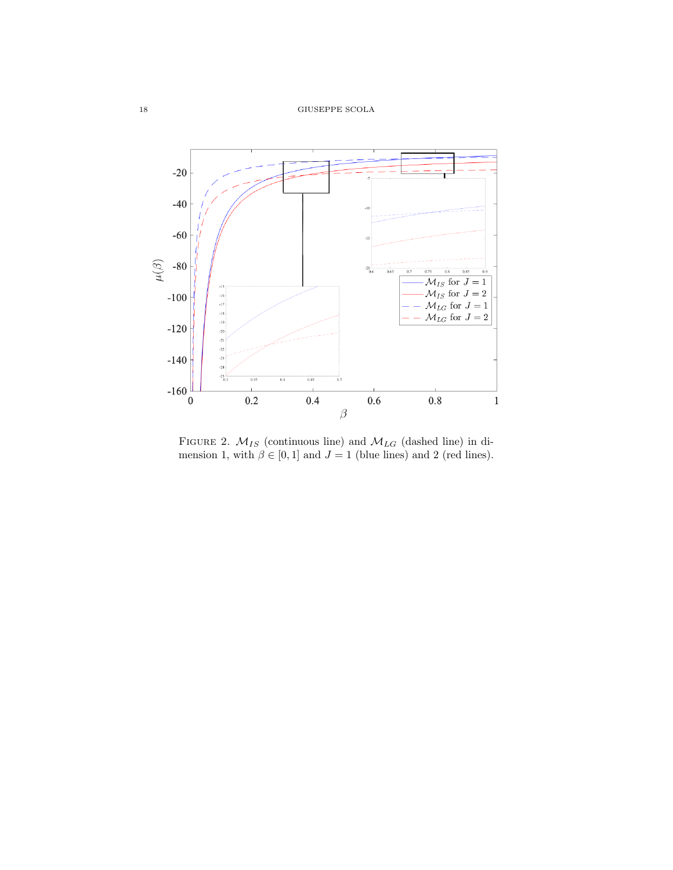

<span id="page-17-0"></span>FIGURE 2.  $M_{IS}$  (continuous line) and  $M_{LG}$  (dashed line) in dimension 1, with  $\beta \in [0, 1]$  and  $J = 1$  (blue lines) and 2 (red lines).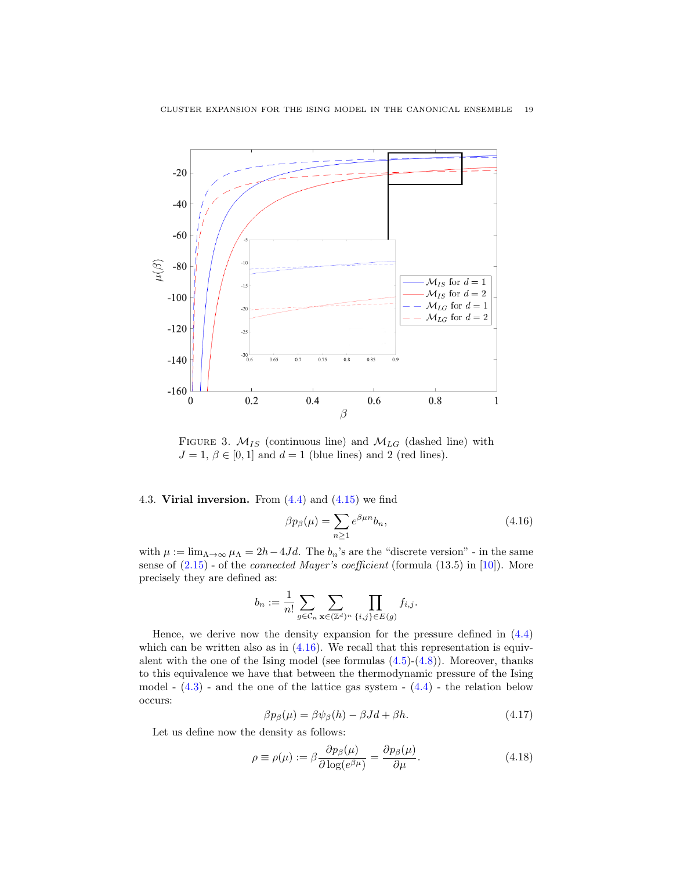

FIGURE 3.  $M_{IS}$  (continuous line) and  $M_{LG}$  (dashed line) with  $J = 1, \beta \in [0, 1]$  and  $d = 1$  (blue lines) and 2 (red lines).

<span id="page-18-0"></span>4.3. Virial inversion. From  $(4.4)$  and  $(4.15)$  we find

<span id="page-18-2"></span><span id="page-18-1"></span>
$$
\beta p_{\beta}(\mu) = \sum_{n \ge 1} e^{\beta \mu n} b_n,\tag{4.16}
$$

with  $\mu := \lim_{\Lambda \to \infty} \mu_{\Lambda} = 2h - 4Jd$ . The  $b_n$ 's are the "discrete version" - in the same sense of  $(2.15)$  - of the *connected Mayer's coefficient* (formula  $(13.5)$  in [\[10\]](#page-30-1)). More precisely they are defined as:

$$
b_n := \frac{1}{n!} \sum_{g \in C_n} \sum_{\mathbf{x} \in (\mathbb{Z}^d)^n} \prod_{\{i,j\} \in E(g)} f_{i,j}.
$$

Hence, we derive now the density expansion for the pressure defined in [\(4.4\)](#page-14-2) which can be written also as in  $(4.16)$ . We recall that this representation is equivalent with the one of the Ising model (see formulas  $(4.5)-(4.8)$  $(4.5)-(4.8)$  $(4.5)-(4.8)$ ). Moreover, thanks to this equivalence we have that between the thermodynamic pressure of the Ising model -  $(4.3)$  - and the one of the lattice gas system -  $(4.4)$  - the relation below occurs:

<span id="page-18-3"></span>
$$
\beta p_{\beta}(\mu) = \beta \psi_{\beta}(h) - \beta Jd + \beta h. \tag{4.17}
$$

Let us define now the density as follows:

$$
\rho \equiv \rho(\mu) := \beta \frac{\partial p_{\beta}(\mu)}{\partial \log(e^{\beta \mu})} = \frac{\partial p_{\beta}(\mu)}{\partial \mu}.
$$
\n(4.18)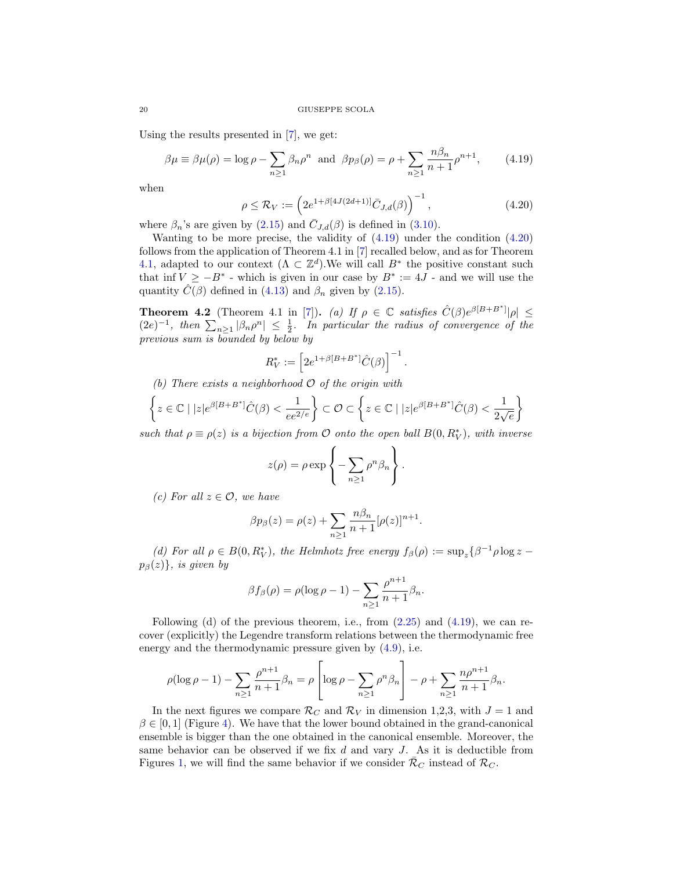Using the results presented in [\[7\]](#page-30-10), we get:

<span id="page-19-0"></span>
$$
\beta \mu \equiv \beta \mu(\rho) = \log \rho - \sum_{n \ge 1} \beta_n \rho^n \text{ and } \beta p_\beta(\rho) = \rho + \sum_{n \ge 1} \frac{n \beta_n}{n+1} \rho^{n+1}, \quad (4.19)
$$

when

<span id="page-19-1"></span>
$$
\rho \le \mathcal{R}_V := \left( 2e^{1+\beta[4J(2d+1)]} \bar{C}_{J,d}(\beta) \right)^{-1},
$$
\n(4.20)

where  $\beta_n$ 's are given by [\(2.15\)](#page-3-0) and  $\overline{C}_{J,d}(\beta)$  is defined in [\(3.10\)](#page-10-3).

Wanting to be more precise, the validity of  $(4.19)$  under the condition  $(4.20)$ follows from the application of Theorem 4.1 in [\[7\]](#page-30-10) recalled below, and as for Theorem [4.1,](#page-16-1) adapted to our context  $(\Lambda \subset \mathbb{Z}^d)$ . We will call  $B^*$  the positive constant such that inf  $V \ge -B^*$  - which is given in our case by  $B^* := 4J$  - and we will use the quantity  $\hat{C}(\beta)$  defined in [\(4.13\)](#page-16-2) and  $\beta_n$  given by [\(2.15\)](#page-3-0).

**Theorem 4.2** (Theorem 4.1 in [\[7\]](#page-30-10)). (a) If  $\rho \in \mathbb{C}$  satisfies  $\hat{C}(\beta)e^{\beta[B+B^*]}|\rho| \leq$  $(2e)^{-1}$ , then  $\sum_{n\geq 1} |\beta_n \rho^n| \leq \frac{1}{2}$ . In particular the radius of convergence of the previous sum is bounded by below by

$$
R_V^* := \left[ 2e^{1+\beta[B+B^*]} \hat{C}(\beta) \right]^{-1}.
$$

(b) There exists a neighborhood  $\mathcal O$  of the origin with

$$
\left\{ z \in \mathbb{C} \mid |z|e^{\beta[B+B^*]}\hat{C}(\beta) < \frac{1}{e e^{2/e}} \right\} \subset \mathcal{O} \subset \left\{ z \in \mathbb{C} \mid |z|e^{\beta[B+B^*]}\hat{C}(\beta) < \frac{1}{2\sqrt{e}} \right\}
$$

such that  $\rho \equiv \rho(z)$  is a bijection from O onto the open ball  $B(0, R_V^*)$ , with inverse

$$
z(\rho) = \rho \exp\left\{-\sum_{n\geq 1} \rho^n \beta_n\right\}.
$$

(c) For all  $z \in \mathcal{O}$ , we have

$$
\beta p_{\beta}(z) = \rho(z) + \sum_{n \ge 1} \frac{n \beta_n}{n+1} [\rho(z)]^{n+1}.
$$

(d) For all  $\rho \in B(0, R_V^*)$ , the Helmhotz free energy  $f_\beta(\rho) := \sup_z \{\beta^{-1} \rho \log z$  $p_{\beta}(z)$ , is given by

$$
\beta f_{\beta}(\rho) = \rho(\log \rho - 1) - \sum_{n \ge 1} \frac{\rho^{n+1}}{n+1} \beta_n.
$$

Following (d) of the previous theorem, i.e., from  $(2.25)$  and  $(4.19)$ , we can recover (explicitly) the Legendre transform relations between the thermodynamic free energy and the thermodynamic pressure given by [\(4.9\)](#page-15-2), i.e.

$$
\rho(\log \rho - 1) - \sum_{n \geq 1} \frac{\rho^{n+1}}{n+1} \beta_n = \rho \left[ \log \rho - \sum_{n \geq 1} \rho^n \beta_n \right] - \rho + \sum_{n \geq 1} \frac{n \rho^{n+1}}{n+1} \beta_n.
$$

In the next figures we compare  $\mathcal{R}_C$  and  $\mathcal{R}_V$  in dimension 1,2,3, with  $J = 1$  and  $\beta \in [0,1]$  (Figure [4\)](#page-20-1). We have that the lower bound obtained in the grand-canonical ensemble is bigger than the one obtained in the canonical ensemble. Moreover, the same behavior can be observed if we fix  $d$  and vary  $J$ . As it is deductible from Figures [1,](#page-13-1) we will find the same behavior if we consider  $\mathcal{R}_C$  instead of  $\mathcal{R}_C$ .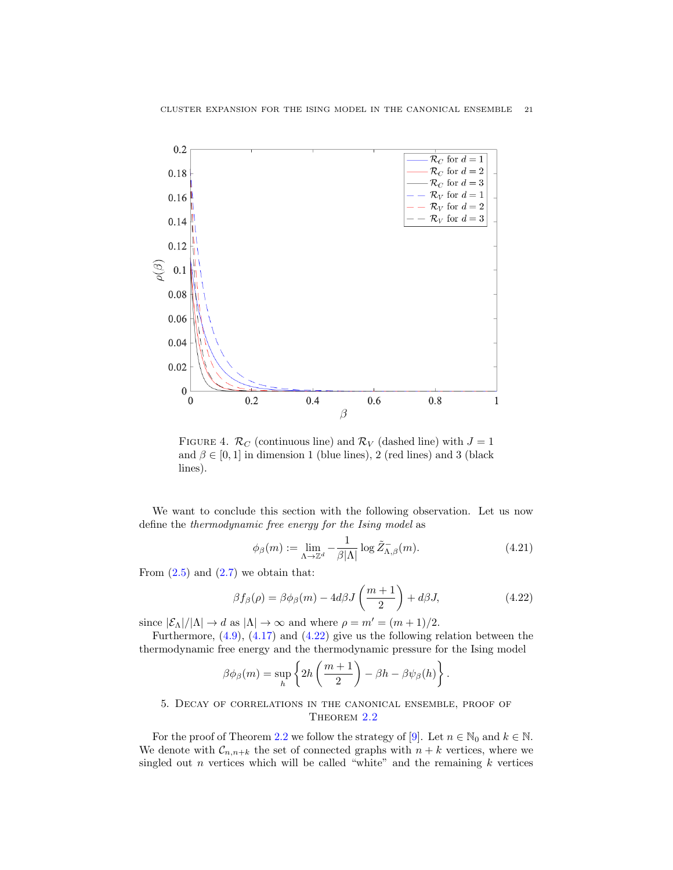

FIGURE 4.  $\mathcal{R}_C$  (continuous line) and  $\mathcal{R}_V$  (dashed line) with  $J = 1$ and  $\beta \in [0, 1]$  in dimension 1 (blue lines), 2 (red lines) and 3 (black lines).

We want to conclude this section with the following observation. Let us now define the thermodynamic free energy for the Ising model as

<span id="page-20-1"></span>
$$
\phi_{\beta}(m) := \lim_{\Lambda \to \mathbb{Z}^d} -\frac{1}{\beta|\Lambda|} \log \tilde{Z}_{\Lambda,\beta}(m). \tag{4.21}
$$

From  $(2.5)$  and  $(2.7)$  we obtain that:

<span id="page-20-2"></span>
$$
\beta f_{\beta}(\rho) = \beta \phi_{\beta}(m) - 4d\beta J\left(\frac{m+1}{2}\right) + d\beta J, \qquad (4.22)
$$

since  $|\mathcal{E}_{\Lambda}|/|\Lambda| \to d$  as  $|\Lambda| \to \infty$  and where  $\rho = m' = (m+1)/2$ .

Furthermore, [\(4.9\)](#page-15-2), [\(4.17\)](#page-18-3) and [\(4.22\)](#page-20-2) give us the following relation between the thermodynamic free energy and the thermodynamic pressure for the Ising model

$$
\beta \phi_{\beta}(m) = \sup_{h} \left\{ 2h \left( \frac{m+1}{2} \right) - \beta h - \beta \psi_{\beta}(h) \right\}.
$$

# <span id="page-20-0"></span>5. Decay of correlations in the canonical ensemble, proof of THEOREM [2.2](#page-5-1)

For the proof of Theorem [2.2](#page-5-1) we follow the strategy of [\[9\]](#page-30-16). Let  $n \in \mathbb{N}_0$  and  $k \in \mathbb{N}$ . We denote with  $\mathcal{C}_{n,n+k}$  the set of connected graphs with  $n+k$  vertices, where we singled out *n* vertices which will be called "white" and the remaining  $k$  vertices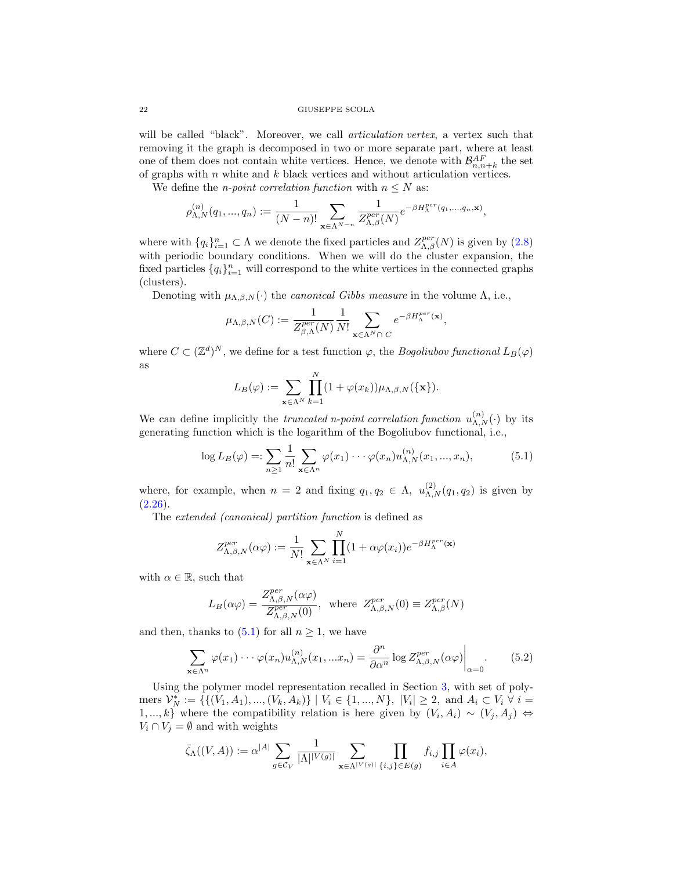will be called "black". Moreover, we call *articulation vertex*, a vertex such that removing it the graph is decomposed in two or more separate part, where at least one of them does not contain white vertices. Hence, we denote with  $\mathcal{B}_{n,n+k}^{AF}$  the set of graphs with  $n$  white and  $k$  black vertices and without articulation vertices.

We define the *n-point correlation function* with  $n \leq N$  as:

$$
\rho_{\Lambda,N}^{(n)}(q_1,...,q_n) := \frac{1}{(N-n)!} \sum_{\mathbf{x} \in \Lambda^{N-n}} \frac{1}{Z_{\Lambda,\beta}^{per}(N)} e^{-\beta H_{\Lambda}^{per}(q_1,...,q_n,\mathbf{x})},
$$

where with  $\{q_i\}_{i=1}^n \subset \Lambda$  we denote the fixed particles and  $Z_{\Lambda,\beta}^{per}(N)$  is given by  $(2.8)$ with periodic boundary conditions. When we will do the cluster expansion, the fixed particles  $\{q_i\}_{i=1}^n$  will correspond to the white vertices in the connected graphs (clusters).

Denoting with  $\mu_{\Lambda,\beta,N}(\cdot)$  the *canonical Gibbs measure* in the volume  $\Lambda$ , i.e.,

<span id="page-21-0"></span>
$$
\mu_{\Lambda,\beta,N}(C) := \frac{1}{Z_{\beta,\Lambda}^{per}(N)} \frac{1}{N!} \sum_{\mathbf{x} \in \Lambda^N \cap C} e^{-\beta H_{\Lambda}^{per}(\mathbf{x})},
$$

where  $C \subset (\mathbb{Z}^d)^N$ , we define for a test function  $\varphi$ , the *Bogoliubov functional*  $L_B(\varphi)$ as

$$
L_B(\varphi) := \sum_{\mathbf{x} \in \Lambda^N} \prod_{k=1}^N (1 + \varphi(x_k)) \mu_{\Lambda, \beta, N}(\{\mathbf{x}\}).
$$

We can define implicitly the *truncated n-point correlation function*  $u_{\Lambda,N}^{(n)}(\cdot)$  by its generating function which is the logarithm of the Bogoliubov functional, i.e.,

$$
\log L_B(\varphi) =: \sum_{n \ge 1} \frac{1}{n!} \sum_{\mathbf{x} \in \Lambda^n} \varphi(x_1) \cdots \varphi(x_n) u_{\Lambda, N}^{(n)}(x_1, ..., x_n), \tag{5.1}
$$

where, for example, when  $n = 2$  and fixing  $q_1, q_2 \in \Lambda$ ,  $u_{\Lambda,N}^{(2)}(q_1, q_2)$  is given by  $(2.26).$  $(2.26).$ 

<span id="page-21-1"></span>The extended (canonical) partition function is defined as

$$
Z_{\Lambda,\beta,N}^{per}(\alpha\varphi) := \frac{1}{N!} \sum_{\mathbf{x} \in \Lambda^N} \prod_{i=1}^N (1 + \alpha\varphi(x_i)) e^{-\beta H_{\Lambda}^{per}(\mathbf{x})}
$$

with  $\alpha \in \mathbb{R}$ , such that

$$
L_B(\alpha \varphi) = \frac{Z_{\Lambda,\beta,N}^{per}(\alpha \varphi)}{Z_{\Lambda,\beta,N}^{per}(0)}, \text{ where } Z_{\Lambda,\beta,N}^{per}(0) \equiv Z_{\Lambda,\beta}^{per}(N)
$$

and then, thanks to  $(5.1)$  for all  $n \geq 1$ , we have

$$
\sum_{\mathbf{x}\in\Lambda^n} \varphi(x_1)\cdots\varphi(x_n) u_{\Lambda,N}^{(n)}(x_1,...x_n) = \frac{\partial^n}{\partial\alpha^n} \log Z_{\Lambda,\beta,N}^{per}(\alpha\varphi)\Big|_{\alpha=0}.\tag{5.2}
$$

Using the polymer model representation recalled in Section [3,](#page-8-0) with set of polymers  $\mathcal{V}_N^* := \{ \{ (V_1, A_1), ..., (V_k, A_k) \} \mid V_i \in \{1, ..., N \}, \ |V_i| \geq 2, \text{ and } A_i \subset V_i \ \forall i =$ 1, ..., k} where the compatibility relation is here given by  $(V_i, A_i) \sim (V_j, A_j) \Leftrightarrow$  $V_i \cap V_j = \emptyset$  and with weights

<span id="page-21-2"></span>
$$
\bar{\zeta}_{\Lambda}((V,A)) := \alpha^{|A|} \sum_{g \in \mathcal{C}_V} \frac{1}{|\Lambda|^{|V(g)|}} \sum_{\mathbf{x} \in \Lambda^{|V(g)|}} \prod_{\{i,j\} \in E(g)} f_{i,j} \prod_{i \in A} \varphi(x_i),
$$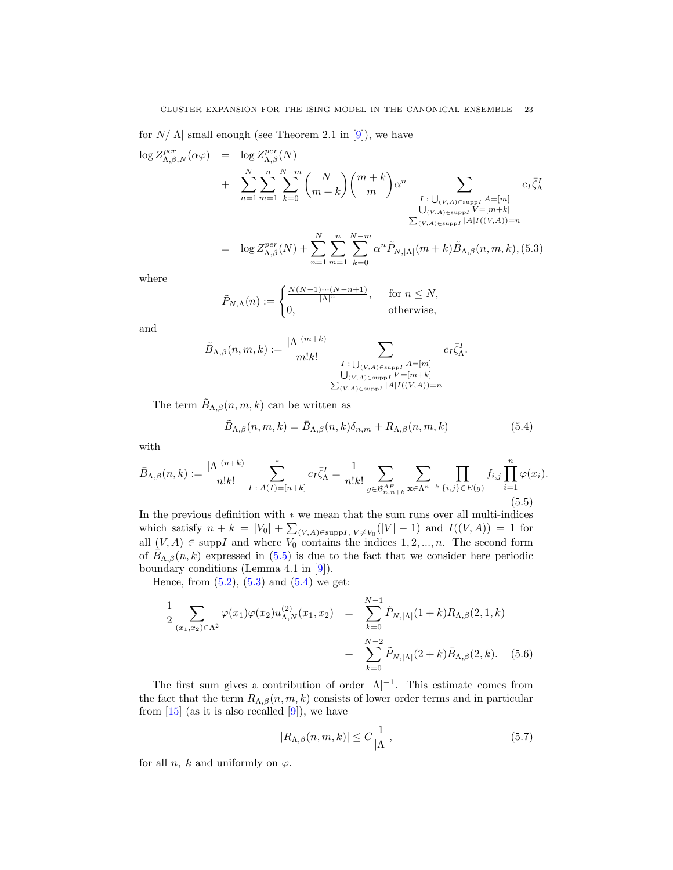for  $N/|\Lambda|$  small enough (see Theorem 2.1 in [\[9\]](#page-30-16)), we have

$$
\log Z_{\Lambda,\beta,N}^{per}(\alpha\varphi) = \log Z_{\Lambda,\beta}^{per}(N) + \sum_{n=1}^{N} \sum_{m=1}^{n} \sum_{k=0}^{N-m} {N \choose m+k} {m+k \choose m} \alpha^{n} \sum_{\substack{I : \bigcup_{(V,A) \in \text{supp} I} A = [m] \\ \bigcup_{(V,A) \in \text{supp} I} V = [m+k] \\ \sum_{(V,A) \in \text{supp} I} |A| I((V,A)) = n}} c_I \bar{\zeta}_{\Lambda}^{I}
$$

$$
= \log Z_{\Lambda,\beta}^{per}(N) + \sum_{n=1}^{N} \sum_{m=1}^{n} \sum_{k=0}^{N-m} \alpha^{n} \tilde{P}_{N,|\Lambda|}(m+k) \tilde{B}_{\Lambda,\beta}(n,m,k), (5.3)
$$

where

<span id="page-22-1"></span>
$$
\tilde{P}_{N,\Lambda}(n) := \begin{cases} \frac{N(N-1)\cdots(N-n+1)}{|\Lambda|^n}, & \text{for } n \le N, \\ 0, & \text{otherwise,} \end{cases}
$$

and

$$
\tilde{B}_{\Lambda,\beta}(n,m,k) := \frac{|\Lambda|^{(m+k)}}{m!k!} \sum_{\substack{I \,:\, \bigcup_{(V,A)\in \text{supp I}} A = [m] \\ \bigcup_{(V,A)\in \text{supp I}} V = [m+k] \\ \sum_{(V,A)\in \text{supp I}} |A|I((V,A)) = n}} c_I \bar{\zeta}_{\Lambda}^I.
$$

The term  $\tilde{B}_{\Lambda,\beta}(n,m,k)$  can be written as

$$
\tilde{B}_{\Lambda,\beta}(n,m,k) = \bar{B}_{\Lambda,\beta}(n,k)\delta_{n,m} + R_{\Lambda,\beta}(n,m,k)
$$
\n(5.4)

with

<span id="page-22-0"></span>
$$
\bar{B}_{\Lambda,\beta}(n,k) := \frac{|\Lambda|^{(n+k)}}{n!k!} \sum_{I \; : \; A(I) = [n+k]}^* c_I \bar{\zeta}_\Lambda^I = \frac{1}{n!k!} \sum_{g \in \mathcal{B}_{n,n+k}} \sum_{\mathbf{x} \in \Lambda^{n+k}} \prod_{\{i,j\} \in E(g)} f_{i,j} \prod_{i=1}^n \varphi(x_i).
$$
\n(5.5)

In the previous definition with ∗ we mean that the sum runs over all multi-indices which satisfy  $n + k = |V_0| + \sum_{(V, A) \in \text{supp} I, V \neq V_0} (|V| - 1)$  and  $I((V, A)) = 1$  for all  $(V, A) \in \text{supp}I$  and where  $V_0$  contains the indices  $1, 2, ..., n$ . The second form of  $\bar{B}_{\Lambda,\beta}(n,k)$  expressed in [\(5.5\)](#page-22-0) is due to the fact that we consider here periodic boundary conditions (Lemma 4.1 in [\[9\]](#page-30-16)).

Hence, from  $(5.2)$ ,  $(5.3)$  and  $(5.4)$  we get:

<span id="page-22-2"></span>
$$
\frac{1}{2} \sum_{(x_1, x_2) \in \Lambda^2} \varphi(x_1) \varphi(x_2) u_{\Lambda, N}^{(2)}(x_1, x_2) = \sum_{k=0}^{N-1} \tilde{P}_{N, |\Lambda|} (1+k) R_{\Lambda, \beta} (2, 1, k) + \sum_{k=0}^{N-2} \tilde{P}_{N, |\Lambda|} (2+k) \bar{B}_{\Lambda, \beta} (2, k). \tag{5.6}
$$

The first sum gives a contribution of order  $|\Lambda|^{-1}$ . This estimate comes from the fact that the term  $R_{\Lambda,\beta}(n,m,k)$  consists of lower order terms and in particular from  $[15]$  (as it is also recalled  $[9]$ ), we have

<span id="page-22-3"></span>
$$
|R_{\Lambda,\beta}(n,m,k)| \le C \frac{1}{|\Lambda|},\tag{5.7}
$$

for all *n*, *k* and uniformly on  $\varphi$ .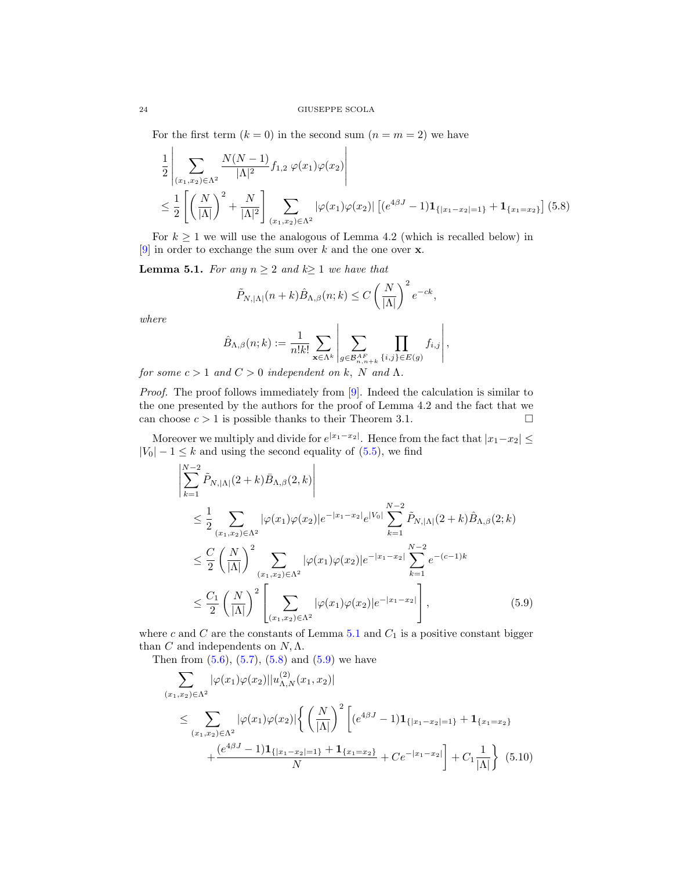For the first term  $(k = 0)$  in the second sum  $(n = m = 2)$  we have

<span id="page-23-1"></span>
$$
\frac{1}{2} \left| \sum_{(x_1, x_2) \in \Lambda^2} \frac{N(N-1)}{|\Lambda|^2} f_{1,2} \varphi(x_1) \varphi(x_2) \right|
$$
\n
$$
\leq \frac{1}{2} \left[ \left( \frac{N}{|\Lambda|} \right)^2 + \frac{N}{|\Lambda|^2} \right] \sum_{(x_1, x_2) \in \Lambda^2} |\varphi(x_1) \varphi(x_2)| \left[ (e^{4\beta J} - 1) \mathbf{1}_{\{|x_1 - x_2| = 1\}} + \mathbf{1}_{\{x_1 = x_2\}} \right] (5.8)
$$

For  $k \geq 1$  we will use the analogous of Lemma 4.2 (which is recalled below) in  $[9]$  in order to exchange the sum over  $k$  and the one over  ${\bf x}.$ 

<span id="page-23-0"></span>**Lemma 5.1.** For any  $n \geq 2$  and  $k \geq 1$  we have that

<span id="page-23-2"></span>
$$
\tilde{P}_{N, |\Lambda|}(n+k)\hat{B}_{\Lambda, \beta}(n;k) \le C\left(\frac{N}{|\Lambda|}\right)^2 e^{-ck},
$$

where

$$
\hat{B}_{\Lambda,\beta}(n;k) := \frac{1}{n!k!} \sum_{\mathbf{x} \in \Lambda^k} \left| \sum_{g \in \mathcal{B}_{n,n+k}^{AF} } \prod_{\{i,j\} \in E(g)} f_{i,j} \right|,
$$

for some  $c > 1$  and  $C > 0$  independent on k, N and  $\Lambda$ .

Proof. The proof follows immediately from [\[9\]](#page-30-16). Indeed the calculation is similar to the one presented by the authors for the proof of Lemma 4.2 and the fact that we can choose  $c > 1$  is possible thanks to their Theorem 3.1.

Moreover we multiply and divide for  $e^{|x_1-x_2|}$ . Hence from the fact that  $|x_1-x_2| \le$  $|V_0| - 1 \leq k$  and using the second equality of [\(5.5\)](#page-22-0), we find

$$
\begin{split}\n&\left| \sum_{k=1}^{N-2} \tilde{P}_{N,|\Lambda|}(2+k) \bar{B}_{\Lambda,\beta}(2,k) \right| \\
&\leq \frac{1}{2} \sum_{(x_1,x_2) \in \Lambda^2} |\varphi(x_1)\varphi(x_2)|e^{-|x_1-x_2|} e^{|V_0|} \sum_{k=1}^{N-2} \tilde{P}_{N,|\Lambda|}(2+k) \hat{B}_{\Lambda,\beta}(2;k) \\
&\leq \frac{C}{2} \left(\frac{N}{|\Lambda|}\right)^2 \sum_{(x_1,x_2) \in \Lambda^2} |\varphi(x_1)\varphi(x_2)|e^{-|x_1-x_2|} \sum_{k=1}^{N-2} e^{-(c-1)k} \\
&\leq \frac{C_1}{2} \left(\frac{N}{|\Lambda|}\right)^2 \left[\sum_{(x_1,x_2) \in \Lambda^2} |\varphi(x_1)\varphi(x_2)|e^{-|x_1-x_2|}\right],\n\end{split} \tag{5.9}
$$

where  $c$  and  $C$  are the constants of Lemma [5.1](#page-23-0) and  $C_1$  is a positive constant bigger than C and independents on  $N, \Lambda$ .

Then from  $(5.6)$ ,  $(5.7)$ ,  $(5.8)$  and  $(5.9)$  we have

$$
\sum_{(x_1, x_2) \in \Lambda^2} |\varphi(x_1)\varphi(x_2)||u_{\Lambda, N}^{(2)}(x_1, x_2)|
$$
\n
$$
\leq \sum_{(x_1, x_2) \in \Lambda^2} |\varphi(x_1)\varphi(x_2)| \left\{ \left(\frac{N}{|\Lambda|}\right)^2 \left[ (e^{4\beta J} - 1) \mathbf{1}_{\{|x_1 - x_2| = 1\}} + \mathbf{1}_{\{x_1 = x_2\}} + \frac{(e^{4\beta J} - 1)\mathbf{1}_{\{|x_1 - x_2| = 1\}} + \mathbf{1}_{\{x_1 = x_2\}}}{N} + Ce^{-|x_1 - x_2|} \right] + C_1 \frac{1}{|\Lambda|} \left\}
$$
\n(5.10)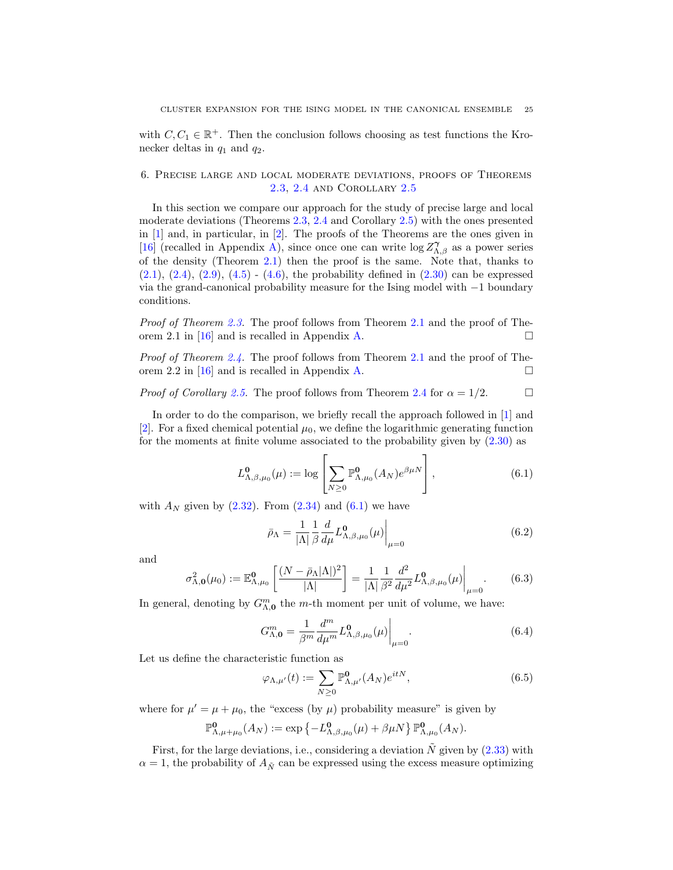with  $C, C_1 \in \mathbb{R}^+$ . Then the conclusion follows choosing as test functions the Kronecker deltas in  $q_1$  and  $q_2$ .

# <span id="page-24-0"></span>6. Precise large and local moderate deviations, proofs of Theorems [2.3,](#page-6-1) [2.4](#page-7-0) and Corollary [2.5](#page-8-1)

In this section we compare our approach for the study of precise large and local moderate deviations (Theorems [2.3,](#page-6-1) [2.4](#page-7-0) and Corollary [2.5\)](#page-8-1) with the ones presented in [\[1\]](#page-30-8) and, in particular, in [\[2\]](#page-30-9). The proofs of the Theorems are the ones given in [\[16\]](#page-30-11) (recalled in Appendix [A\)](#page-28-1), since once one can write  $\log Z_{\Lambda,\beta}^{\gamma}$  as a power series of the density (Theorem [2.1\)](#page-4-0) then the proof is the same. Note that, thanks to  $(2.1), (2.4), (2.9), (4.5)$  $(2.1), (2.4), (2.9), (4.5)$  $(2.1), (2.4), (2.9), (4.5)$  $(2.1), (2.4), (2.9), (4.5)$  $(2.1), (2.4), (2.9), (4.5)$  $(2.1), (2.4), (2.9), (4.5)$  $(2.1), (2.4), (2.9), (4.5)$  -  $(4.6),$  $(4.6),$  the probability defined in  $(2.30)$  can be expressed via the grand-canonical probability measure for the Ising model with −1 boundary conditions.

Proof of Theorem [2.3.](#page-6-1) The proof follows from Theorem [2.1](#page-4-0) and the proof of The-orem 2.1 in [\[16\]](#page-30-11) and is recalled in Appendix [A.](#page-28-1)

Proof of Theorem [2.4.](#page-7-0) The proof follows from Theorem [2.1](#page-4-0) and the proof of The-orem 2.2 in [\[16\]](#page-30-11) and is recalled in Appendix [A.](#page-28-1)

*Proof of Corollary [2.5.](#page-8-1)* The proof follows from Theorem [2.4](#page-7-0) for  $\alpha = 1/2$ .

In order to do the comparison, we briefly recall the approach followed in  $[1]$  and [\[2\]](#page-30-9). For a fixed chemical potential  $\mu_0$ , we define the logarithmic generating function for the moments at finite volume associated to the probability given by [\(2.30\)](#page-5-4) as

<span id="page-24-1"></span>
$$
L^{\mathbf{0}}_{\Lambda,\beta,\mu_0}(\mu) := \log \left[ \sum_{N \ge 0} \mathbb{P}^{\mathbf{0}}_{\Lambda,\mu_0}(A_N) e^{\beta \mu N} \right],
$$
 (6.1)

with  $A_N$  given by  $(2.32)$ . From  $(2.34)$  and  $(6.1)$  we have

$$
\bar{\rho}_{\Lambda} = \frac{1}{|\Lambda|} \frac{1}{\beta} \frac{d}{d\mu} L_{\Lambda,\beta,\mu_0}^{\mathbf{0}}(\mu) \bigg|_{\mu=0} \tag{6.2}
$$

and

<span id="page-24-5"></span>
$$
\sigma_{\Lambda,0}^2(\mu_0) := \mathbb{E}_{\Lambda,\mu_0}^0 \left[ \frac{(N - \bar{\rho}_{\Lambda} |\Lambda|)^2}{|\Lambda|} \right] = \frac{1}{|\Lambda|} \frac{1}{\beta^2} \frac{d^2}{d\mu^2} L_{\Lambda,\beta,\mu_0}^0(\mu) \Big|_{\mu=0}.
$$
 (6.3)

In general, denoting by  $G^m_{\Lambda,0}$  the m-th moment per unit of volume, we have:

<span id="page-24-4"></span>
$$
G_{\Lambda,\mathbf{0}}^m = \frac{1}{\beta^m} \frac{d^m}{d\mu^m} L_{\Lambda,\beta,\mu_0}^{\mathbf{0}}(\mu) \bigg|_{\mu=0}.
$$
 (6.4)

Let us define the characteristic function as

<span id="page-24-3"></span>
$$
\varphi_{\Lambda,\mu'}(t) := \sum_{N \ge 0} \mathbb{P}^{\mathbf{0}}_{\Lambda,\mu'}(A_N) e^{itN},\tag{6.5}
$$

where for  $\mu' = \mu + \mu_0$ , the "excess (by  $\mu$ ) probability measure" is given by

<span id="page-24-2"></span>
$$
\mathbb{P}^{\mathbf{0}}_{\Lambda,\mu+\mu_0}(A_N) := \exp \left\{-L^{\mathbf{0}}_{\Lambda,\beta,\mu_0}(\mu) + \beta \mu N\right\} \mathbb{P}^{\mathbf{0}}_{\Lambda,\mu_0}(A_N).
$$

First, for the large deviations, i.e., considering a deviation  $\tilde{N}$  given by [\(2.33\)](#page-6-3) with  $\alpha = 1$ , the probability of  $A_{\tilde{N}}$  can be expressed using the excess measure optimizing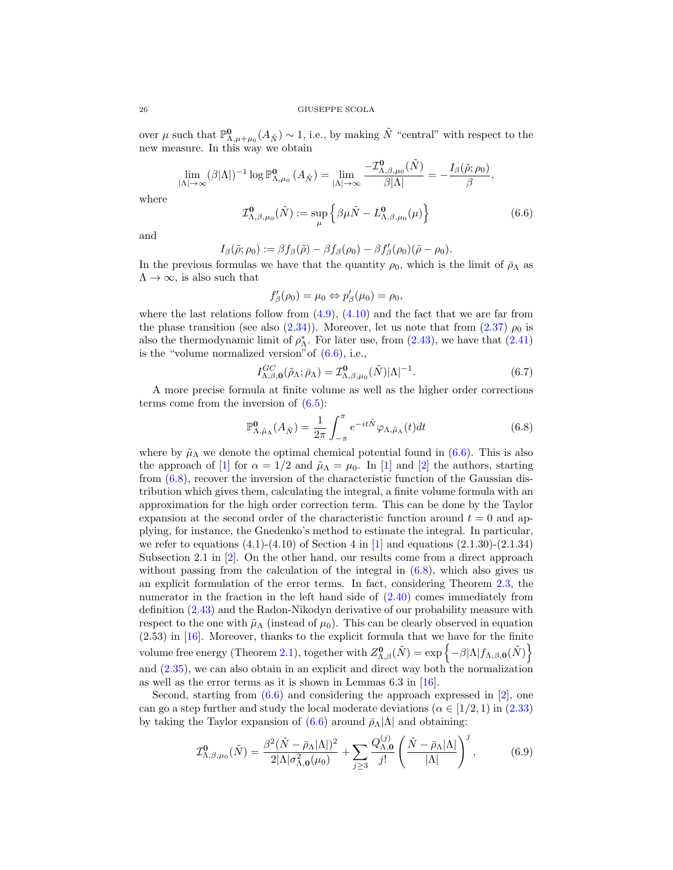over  $\mu$  such that  $\mathbb{P}^{\mathbf{0}}_{\Lambda,\mu+\mu_0}(A_{\tilde{N}}) \sim 1$ , i.e., by making  $\tilde{N}$  "central" with respect to the new measure. In this way we obtain

$$
\lim_{|\Lambda| \to \infty} (\beta |\Lambda|)^{-1} \log \mathbb{P}^{\mathbf{0}}_{\Lambda, \mu_0} (A_{\tilde{N}}) = \lim_{|\Lambda| \to \infty} \frac{-\mathcal{I}^{\mathbf{0}}_{\Lambda, \beta, \mu_0} (\tilde{N})}{\beta |\Lambda|} = -\frac{I_{\beta} (\tilde{\rho}; \rho_0)}{\beta},
$$

where

$$
\mathcal{I}_{\Lambda,\beta,\mu_0}^{\mathbf{0}}(\tilde{N}) := \sup_{\mu} \left\{ \beta \mu \tilde{N} - L_{\Lambda,\beta,\mu_0}^{\mathbf{0}}(\mu) \right\} \tag{6.6}
$$

and

<span id="page-25-1"></span>
$$
I_{\beta}(\tilde{\rho};\rho_0):=\beta f_{\beta}(\tilde{\rho})-\beta f_{\beta}(\rho_0)-\beta f'_{\beta}(\rho_0)(\tilde{\rho}-\rho_0).
$$

In the previous formulas we have that the quantity  $\rho_0$ , which is the limit of  $\bar{\rho}_{\Lambda}$  as  $\Lambda \rightarrow \infty$ , is also such that

$$
f'_{\beta}(\rho_0) = \mu_0 \Leftrightarrow p'_{\beta}(\mu_0) = \rho_0,
$$

where the last relations follow from  $(4.9)$ ,  $(4.10)$  and the fact that we are far from the phase transition (see also [\(2.34\)](#page-6-9)). Moreover, let us note that from [\(2.37\)](#page-6-2)  $\rho_0$  is also the thermodynamic limit of  $\rho_{\Lambda}^*$ . For later use, from [\(2.43\)](#page-7-1), we have that [\(2.41\)](#page-6-8) is the "volume normalized version" of  $(6.6)$ , i.e.,

$$
I_{\Lambda,\beta,\mathbf{0}}^{GC}(\tilde{\rho}_{\Lambda};\bar{\rho}_{\Lambda}) = \mathcal{I}_{\Lambda,\beta,\mu_0}^{\mathbf{0}}(\tilde{N})|\Lambda|^{-1}.
$$
\n(6.7)

A more precise formula at finite volume as well as the higher order corrections terms come from the inversion of  $(6.5)$ :

<span id="page-25-0"></span>
$$
\mathbb{P}^{\mathbf{0}}_{\Lambda,\tilde{\mu}_{\Lambda}}(A_{\tilde{N}}) = \frac{1}{2\pi} \int_{-\pi}^{\pi} e^{-it\tilde{N}} \varphi_{\Lambda,\tilde{\mu}_{\Lambda}}(t) dt \tag{6.8}
$$

where by  $\tilde{\mu}_{\Lambda}$  we denote the optimal chemical potential found in [\(6.6\)](#page-24-2). This is also the approach of [\[1\]](#page-30-8) for  $\alpha = 1/2$  and  $\tilde{\mu}_{\Lambda} = \mu_0$ . In [1] and [\[2\]](#page-30-9) the authors, starting from [\(6.8\)](#page-25-0), recover the inversion of the characteristic function of the Gaussian distribution which gives them, calculating the integral, a finite volume formula with an approximation for the high order correction term. This can be done by the Taylor expansion at the second order of the characteristic function around  $t = 0$  and applying, for instance, the Gnedenko's method to estimate the integral. In particular, we refer to equations  $(4.1)$ - $(4.10)$  of Section 4 in [\[1\]](#page-30-8) and equations  $(2.1.30)$ - $(2.1.34)$ Subsection 2.1 in [\[2\]](#page-30-9). On the other hand, our results come from a direct approach without passing from the calculation of the integral in  $(6.8)$ , which also gives us an explicit formulation of the error terms. In fact, considering Theorem [2.3,](#page-6-1) the numerator in the fraction in the left hand side of [\(2.40\)](#page-6-7) comes immediately from definition [\(2.43\)](#page-7-1) and the Radon-Nikodyn derivative of our probability measure with respect to the one with  $\tilde{\mu}_{\Lambda}$  (instead of  $\mu_0$ ). This can be clearly observed in equation (2.53) in [\[16\]](#page-30-11). Moreover, thanks to the explicit formula that we have for the finite volume free energy (Theorem [2.1\)](#page-4-0), together with  $Z_{\Lambda,\beta}^{0}(\tilde{N}) = \exp \{-\beta |\Lambda| f_{\Lambda,\beta,\mathbf{0}}(\tilde{N})\}$ and [\(2.35\)](#page-6-10), we can also obtain in an explicit and direct way both the normalization as well as the error terms as it is shown in Lemmas 6.3 in [\[16\]](#page-30-11).

Second, starting from  $(6.6)$  and considering the approach expressed in [\[2\]](#page-30-9), one can go a step further and study the local moderate deviations ( $\alpha \in [1/2, 1)$  in [\(2.33\)](#page-6-3) by taking the Taylor expansion of  $(6.6)$  around  $\bar{\rho}_{\Lambda}|\Lambda|$  and obtaining:

<span id="page-25-2"></span>
$$
\mathcal{I}_{\Lambda,\beta,\mu_0}^{\mathbf{0}}(\tilde{N}) = \frac{\beta^2 (\tilde{N} - \bar{\rho}_{\Lambda} |\Lambda|)^2}{2|\Lambda|\sigma_{\Lambda,\mathbf{0}}^2(\mu_0)} + \sum_{j\geq 3} \frac{Q_{\Lambda,\mathbf{0}}^{(j)}}{j!} \left(\frac{\tilde{N} - \bar{\rho}_{\Lambda} |\Lambda|}{|\Lambda|}\right)^j, \tag{6.9}
$$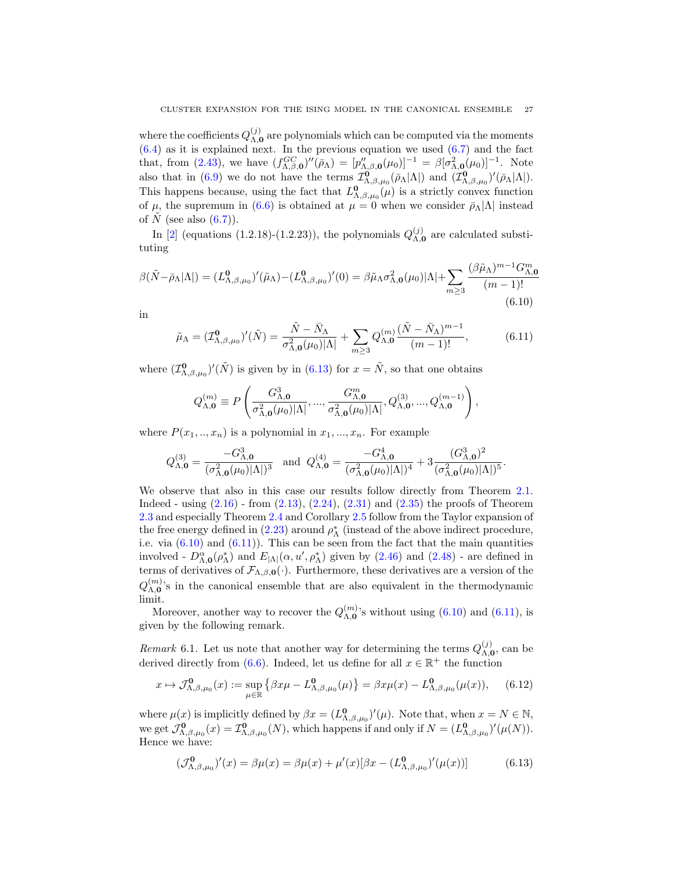where the coefficients  $Q_{\Lambda,0}^{(j)}$  $\Lambda$ <sub>0</sub> are polynomials which can be computed via the moments  $(6.4)$  as it is explained next. In the previous equation we used  $(6.7)$  and the fact that, from [\(2.43\)](#page-7-1), we have  $(f_{\Lambda,\beta,0}^{GC})''(\bar{\rho}_{\Lambda}) = [p''_{\Lambda,\beta,0}(\mu_0)]^{-1} = \beta[\sigma_{\Lambda,0}^2(\mu_0)]^{-1}$ . Note also that in [\(6.9\)](#page-25-2) we do not have the terms  $\mathcal{I}_{\Lambda,\beta,\mu_0}^{\mathbf{0}}(\bar{\rho}_{\Lambda}|\Lambda|)$  and  $(\mathcal{I}_{\Lambda,\beta,\mu_0}^{\mathbf{0}})'(\bar{\rho}_{\Lambda}|\Lambda|)$ . This happens because, using the fact that  $L^{\mathbf{0}}_{\Lambda,\beta,\mu_0}(\mu)$  is a strictly convex function of  $\mu$ , the supremum in [\(6.6\)](#page-24-2) is obtained at  $\mu = 0$  when we consider  $\bar{\rho}_{\Lambda} |\Lambda|$  instead of N (see also  $(6.7)$ ).

In [\[2\]](#page-30-9) (equations (1.2.18)-(1.2.23)), the polynomials  $Q_{\Lambda}^{(j)}$  $\Lambda$ <sub>0</sub> are calculated substituting

<span id="page-26-1"></span>
$$
\beta(\tilde{N} - \bar{\rho}_{\Lambda}|\Lambda|) = (L_{\Lambda,\beta,\mu_0}^0)'(\tilde{\mu}_{\Lambda}) - (L_{\Lambda,\beta,\mu_0}^0)'(0) = \beta\tilde{\mu}_{\Lambda}\sigma_{\Lambda,0}^2(\mu_0)|\Lambda| + \sum_{m\geq 3} \frac{(\beta\tilde{\mu}_{\Lambda})^{m-1}G_{\Lambda,0}^m}{(m-1)!}
$$
\n(6.10)

in

<span id="page-26-2"></span>
$$
\tilde{\mu}_{\Lambda} = (\mathcal{I}_{\Lambda,\beta,\mu_0}^{\mathbf{0}})'(\tilde{N}) = \frac{\tilde{N} - \bar{N}_{\Lambda}}{\sigma_{\Lambda,\mathbf{0}}^2(\mu_0)|\Lambda|} + \sum_{m \ge 3} Q_{\Lambda,\mathbf{0}}^{(m)} \frac{(\tilde{N} - \bar{N}_{\Lambda})^{m-1}}{(m-1)!},
$$
\n(6.11)

where  $(\mathcal{I}_{\Lambda,\beta,\mu_0}^0)'(\tilde{N})$  is given by in [\(6.13\)](#page-26-0) for  $x = \tilde{N}$ , so that one obtains

$$
Q_{\Lambda,\mathbf{0}}^{(m)}\equiv P\left(\frac{G_{\Lambda,\mathbf{0}}^3}{\sigma_{\Lambda,\mathbf{0}}^2(\mu_0)|\Lambda|},...,\frac{G_{\Lambda,\mathbf{0}}^m}{\sigma_{\Lambda,\mathbf{0}}^2(\mu_0)|\Lambda|},Q_{\Lambda,\mathbf{0}}^{(3)},...,Q_{\Lambda,\mathbf{0}}^{(m-1)}\right),
$$

where  $P(x_1, \ldots, x_n)$  is a polynomial in  $x_1, \ldots, x_n$ . For example

$$
Q_{\Lambda,\mathbf{0}}^{(3)} = \frac{-G_{\Lambda,\mathbf{0}}^3}{(\sigma_{\Lambda,\mathbf{0}}^2(\mu_0)|\Lambda|)^3} \text{ and } Q_{\Lambda,\mathbf{0}}^{(4)} = \frac{-G_{\Lambda,\mathbf{0}}^4}{(\sigma_{\Lambda,\mathbf{0}}^2(\mu_0)|\Lambda|)^4} + 3\frac{(G_{\Lambda,\mathbf{0}}^3)^2}{(\sigma_{\Lambda,\mathbf{0}}^2(\mu_0)|\Lambda|)^5}.
$$

We observe that also in this case our results follow directly from Theorem [2.1.](#page-4-0) Indeed - using  $(2.16)$  - from  $(2.13)$ ,  $(2.24)$ ,  $(2.31)$  and  $(2.35)$  the proofs of Theorem [2.3](#page-6-1) and especially Theorem [2.4](#page-7-0) and Corollary [2.5](#page-8-1) follow from the Taylor expansion of the free energy defined in [\(2.23\)](#page-4-3) around  $\rho_{\Lambda}^{*}$  (instead of the above indirect procedure, i.e. via  $(6.10)$  and  $(6.11)$ ). This can be seen from the fact that the main quantities involved -  $D_{\Lambda,0}^{\alpha}(\rho_{\Lambda}^{*})$  and  $E_{|\Lambda|}(\alpha, u', \rho_{\Lambda}^{*})$  given by [\(2.46\)](#page-7-5) and [\(2.48\)](#page-7-3) - are defined in terms of derivatives of  $\mathcal{F}_{\Lambda,\beta,0}(\cdot)$ . Furthermore, these derivatives are a version of the  $Q_{\Lambda,0}^{(m)}$  $\Lambda_{A,0}^{(m)}$ 's in the canonical ensemble that are also equivalent in the thermodynamic limit.

Moreover, another way to recover the  $Q_{\Lambda, 0}^{(m)}$  $\mathcal{L}_{\Lambda,\mathbf{0}}^{(m)}$ 's without using  $(6.10)$  and  $(6.11)$ , is given by the following remark.

Remark 6.1. Let us note that another way for determining the terms  $Q_{\Lambda}^{(j)}$  $\chi_{0}^{(j)}$ , can be derived directly from [\(6.6\)](#page-24-2). Indeed, let us define for all  $x \in \mathbb{R}^+$  the function

$$
x \mapsto \mathcal{J}_{\Lambda,\beta,\mu_0}^0(x) := \sup_{\mu \in \mathbb{R}} \left\{ \beta x \mu - L_{\Lambda,\beta,\mu_0}^0(\mu) \right\} = \beta x \mu(x) - L_{\Lambda,\beta,\mu_0}^0(\mu(x)), \quad (6.12)
$$

where  $\mu(x)$  is implicitly defined by  $\beta x = (L^0_{\Lambda,\beta,\mu_0})'(\mu)$ . Note that, when  $x = N \in \mathbb{N}$ , we get  $\mathcal{J}_{\Lambda,\beta,\mu_0}^{\mathbf{0}}(x) = \mathcal{I}_{\Lambda,\beta,\mu_0}^{\mathbf{0}}(N)$ , which happens if and only if  $N = (L_{\Lambda,\beta,\mu_0}^{\mathbf{0}})'(\mu(N))$ . Hence we have:

<span id="page-26-0"></span>
$$
(\mathcal{J}_{\Lambda,\beta,\mu_0}^0)'(x) = \beta \mu(x) = \beta \mu(x) + \mu'(x)[\beta x - (L_{\Lambda,\beta,\mu_0}^0)'(\mu(x))]
$$
(6.13)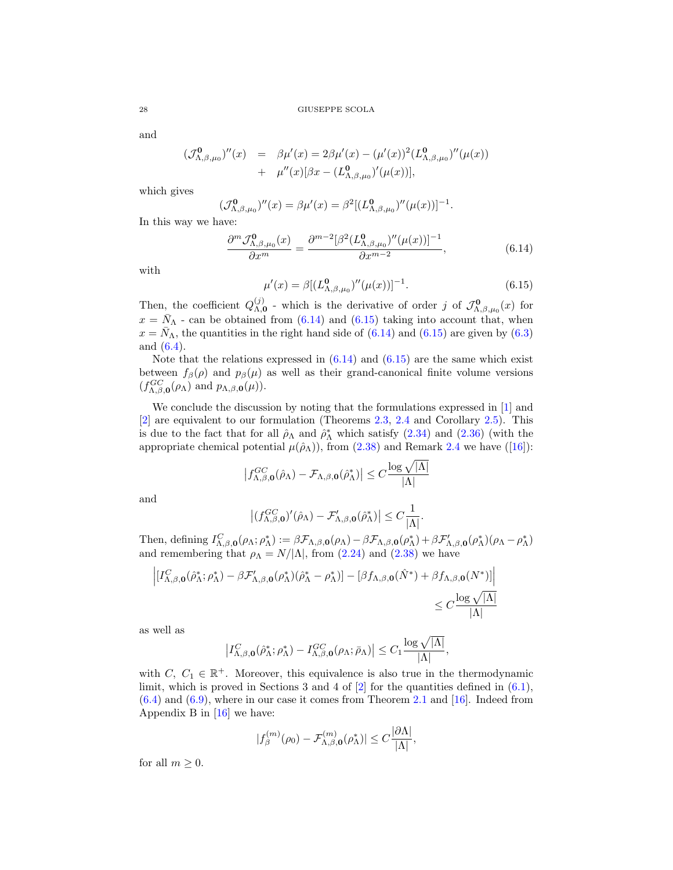and

<span id="page-27-0"></span>
$$
\begin{array}{rcl}\n(\mathcal{J}_{\Lambda,\beta,\mu_{0}}^{\mathbf{0}})^{\prime\prime}(x) & = & \beta\mu^{\prime}(x) = 2\beta\mu^{\prime}(x) - (\mu^{\prime}(x))^{2} (L_{\Lambda,\beta,\mu_{0}}^{\mathbf{0}})^{\prime\prime}(\mu(x)) \\
& + & \mu^{\prime\prime}(x)[\beta x - (L_{\Lambda,\beta,\mu_{0}}^{\mathbf{0}})^{\prime}(\mu(x))],\n\end{array}
$$

which gives

$$
(\mathcal{J}_{\Lambda,\beta,\mu_0}^{\mathbf{0}})^{\prime\prime}(x) = \beta \mu^{\prime}(x) = \beta^2 [(L_{\Lambda,\beta,\mu_0}^{\mathbf{0}})^{\prime\prime}(\mu(x))]^{-1}.
$$

In this way we have:

$$
\frac{\partial^m \mathcal{J}_{\Lambda,\beta,\mu_0}^{\mathbf{0}}(x)}{\partial x^m} = \frac{\partial^{m-2} [\beta^2 (L_{\Lambda,\beta,\mu_0}^{\mathbf{0}})''(\mu(x))]^{-1}}{\partial x^{m-2}},\tag{6.14}
$$

with

<span id="page-27-1"></span>
$$
\mu'(x) = \beta [ (L^{\mathbf{0}}_{\Lambda,\beta,\mu_0})''(\mu(x))]^{-1}.
$$
\n(6.15)

Then, the coefficient  $Q_{\Lambda}^{(j)}$ <sup>(*j*)</sup> - which is the derivative of order *j* of  $\mathcal{J}_{\Lambda,\beta,\mu_0}^{\mathbf{0}}(x)$  for  $x = \bar{N}_{\Lambda}$  - can be obtained from [\(6.14\)](#page-27-0) and [\(6.15\)](#page-27-1) taking into account that, when  $x = \overline{N}_{\Lambda}$ , the quantities in the right hand side of [\(6.14\)](#page-27-0) and [\(6.15\)](#page-27-1) are given by [\(6.3\)](#page-24-5) and [\(6.4\)](#page-24-4).

Note that the relations expressed in  $(6.14)$  and  $(6.15)$  are the same which exist between  $f_\beta(\rho)$  and  $p_\beta(\mu)$  as well as their grand-canonical finite volume versions  $(f_{\Lambda,\beta,\mathbf{0}}^{GC}(\rho_\Lambda)$  and  $p_{\Lambda,\beta,\mathbf{0}}(\mu)).$ 

We conclude the discussion by noting that the formulations expressed in [\[1\]](#page-30-8) and [\[2\]](#page-30-9) are equivalent to our formulation (Theorems [2.3,](#page-6-1) [2.4](#page-7-0) and Corollary [2.5\)](#page-8-1). This is due to the fact that for all  $\hat{\rho}_{\Lambda}$  and  $\hat{\rho}_{\Lambda}^{*}$  which satisfy [\(2.34\)](#page-6-9) and [\(2.36\)](#page-6-4) (with the appropriate chemical potential  $\mu(\hat{\rho}_\Lambda)$ , from [\(2.38\)](#page-6-11) and Remark [2.4](#page-7-8) we have ([\[16\]](#page-30-11)):

$$
\left|f_{\Lambda,\beta,\mathbf{0}}^{GC}(\hat{\rho}_{\Lambda})-\mathcal{F}_{\Lambda,\beta,\mathbf{0}}(\hat{\rho}_{\Lambda}^{*})\right|\leq C\frac{\log\sqrt{|\Lambda|}}{|\Lambda|}
$$

and

$$
\big|(f^{GC}_{\Lambda,\beta,\mathbf{0}})'(\hat{\rho}_{\Lambda})-\mathcal{F}_{\Lambda,\beta,\mathbf{0}}'(\hat{\rho}_{\Lambda}^*)\big|\leq C\frac{1}{|\Lambda|}.
$$

Then, defining  $I_{\Lambda,\beta,0}^C(\rho_\Lambda;\rho_\Lambda^*) := \beta \mathcal{F}_{\Lambda,\beta,0}(\rho_\Lambda) - \beta \mathcal{F}_{\Lambda,\beta,0}(\rho_\Lambda^*) + \beta \mathcal{F}_{\Lambda,\beta,0}'(\rho_\Lambda^*)(\rho_\Lambda - \rho_\Lambda^*)$ and remembering that  $\rho_{\Lambda} = N/|\Lambda|$ , from [\(2.24\)](#page-4-2) and [\(2.38\)](#page-6-11) we have

$$
\left| \left[ I_{\Lambda,\beta,\mathbf{0}}^C(\hat{\rho}_{\Lambda}^*; \rho_{\Lambda}^*) - \beta \mathcal{F}_{\Lambda,\beta,\mathbf{0}}'(\rho_{\Lambda}^*) (\hat{\rho}_{\Lambda}^* - \rho_{\Lambda}^*) \right] - \left[ \beta f_{\Lambda,\beta,\mathbf{0}}(\hat{N}^*) + \beta f_{\Lambda,\beta,\mathbf{0}}(N^*) \right] \right|
$$
  

$$
\leq C \frac{\log \sqrt{|\Lambda|}}{|\Lambda|}
$$

as well as

$$
\left| I^C_{\Lambda,\beta,\mathbf{0}}(\hat{\rho}^*_{\Lambda};\rho^*_{\Lambda}) - I^{GC}_{\Lambda,\beta,\mathbf{0}}(\rho_{\Lambda};\bar{\rho}_{\Lambda}) \right| \leq C_1 \frac{\log \sqrt{|\Lambda|}}{|\Lambda|},
$$

with  $C, C_1 \in \mathbb{R}^+$ . Moreover, this equivalence is also true in the thermodynamic limit, which is proved in Sections 3 and 4 of  $[2]$  for the quantities defined in  $(6.1)$ ,  $(6.4)$  and  $(6.9)$ , where in our case it comes from Theorem [2.1](#page-4-0) and [\[16\]](#page-30-11). Indeed from Appendix B in [\[16\]](#page-30-11) we have:

$$
|f_{\beta}^{(m)}(\rho_0)-\mathcal{F}_{\Lambda,\beta,\mathbf{0}}^{(m)}(\rho_{\Lambda}^*)|\leq C\frac{|\partial\Lambda|}{|\Lambda|},
$$

for all  $m \geq 0$ .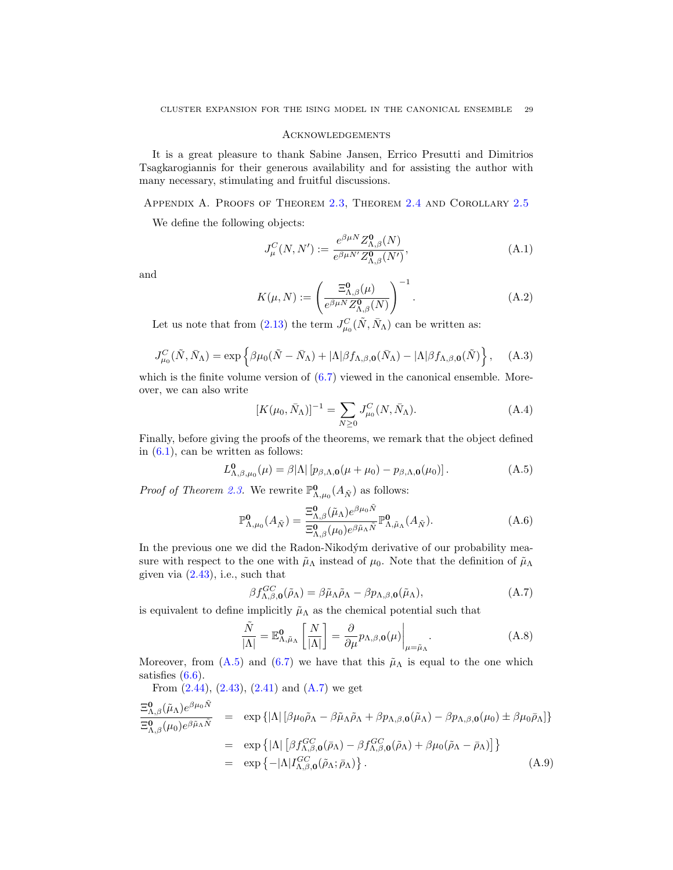# <span id="page-28-0"></span>Acknowledgements

It is a great pleasure to thank Sabine Jansen, Errico Presutti and Dimitrios Tsagkarogiannis for their generous availability and for assisting the author with many necessary, stimulating and fruitful discussions.

<span id="page-28-1"></span>Appendix A. Proofs of Theorem [2.3,](#page-6-1) Theorem [2.4](#page-7-0) and Corollary [2.5](#page-8-1)

We define the following objects:

<span id="page-28-4"></span>
$$
J_{\mu}^{C}(N, N') := \frac{e^{\beta \mu N} Z_{\Lambda, \beta}^{0}(N)}{e^{\beta \mu N'} Z_{\Lambda, \beta}^{0}(N')},
$$
\n(A.1)

and

<span id="page-28-5"></span>
$$
K(\mu, N) := \left(\frac{\Xi_{\Lambda,\beta}^{\mathbf{0}}(\mu)}{e^{\beta \mu N} Z_{\Lambda,\beta}^{\mathbf{0}}(N)}\right)^{-1}.
$$
 (A.2)

Let us note that from [\(2.13\)](#page-3-5) the term  $J_{\mu_0}^C(\tilde{N}, \bar{N}_{\Lambda})$  can be written as:

$$
J_{\mu_0}^C(\tilde{N}, \bar{N}_{\Lambda}) = \exp\left\{\beta\mu_0(\tilde{N} - \bar{N}_{\Lambda}) + |\Lambda|\beta f_{\Lambda,\beta,0}(\bar{N}_{\Lambda}) - |\Lambda|\beta f_{\Lambda,\beta,0}(\tilde{N})\right\},\quad (A.3)
$$

which is the finite volume version of  $(6.7)$  viewed in the canonical ensemble. Moreover, we can also write

$$
[K(\mu_0, \bar{N}_{\Lambda})]^{-1} = \sum_{N \ge 0} J_{\mu_0}^C(N, \bar{N}_{\Lambda}).
$$
 (A.4)

Finally, before giving the proofs of the theorems, we remark that the object defined in  $(6.1)$ , can be written as follows:

<span id="page-28-2"></span>
$$
L^{\mathbf{0}}_{\Lambda,\beta,\mu_0}(\mu) = \beta |\Lambda| \left[ p_{\beta,\Lambda,\mathbf{0}}(\mu + \mu_0) - p_{\beta,\Lambda,\mathbf{0}}(\mu_0) \right]. \tag{A.5}
$$

*Proof of Theorem [2.3.](#page-6-1)* We rewrite  $\mathbb{P}^{\mathbf{0}}_{\Lambda,\mu_0}(A_{\tilde{N}})$  as follows:

$$
\mathbb{P}^{\mathbf{0}}_{\Lambda,\mu_0}(A_{\tilde{N}}) = \frac{\Xi^{\mathbf{0}}_{\Lambda,\beta}(\tilde{\mu}_{\Lambda})e^{\beta\mu_0\tilde{N}}}{\Xi^{\mathbf{0}}_{\Lambda,\beta}(\mu_0)e^{\beta\tilde{\mu}_{\Lambda}\tilde{N}}}\mathbb{P}^{\mathbf{0}}_{\Lambda,\tilde{\mu}_{\Lambda}}(A_{\tilde{N}}).
$$
\n(A.6)

In the previous one we did the Radon-Nikodým derivative of our probability measure with respect to the one with  $\tilde{\mu}_{\Lambda}$  instead of  $\mu_0$ . Note that the definition of  $\tilde{\mu}_{\Lambda}$ given via  $(2.43)$ , i.e., such that

<span id="page-28-3"></span>
$$
\beta f_{\Lambda,\beta,0}^{GC}(\tilde{\rho}_{\Lambda}) = \beta \tilde{\mu}_{\Lambda} \tilde{\rho}_{\Lambda} - \beta p_{\Lambda,\beta,0}(\tilde{\mu}_{\Lambda}), \tag{A.7}
$$

is equivalent to define implicitly  $\tilde{\mu}_{\Lambda}$  as the chemical potential such that

$$
\frac{\tilde{N}}{|\Lambda|} = \mathbb{E}^{\mathbf{0}}_{\Lambda, \tilde{\mu}_{\Lambda}} \left[ \frac{N}{|\Lambda|} \right] = \frac{\partial}{\partial \mu} p_{\Lambda, \beta, \mathbf{0}}(\mu) \Big|_{\mu = \tilde{\mu}_{\Lambda}}.
$$
\n(A.8)

Moreover, from [\(A.5\)](#page-28-2) and [\(6.7\)](#page-25-1) we have that this  $\tilde{\mu}_{\Lambda}$  is equal to the one which satisfies  $(6.6)$ .

From  $(2.44)$ ,  $(2.43)$ ,  $(2.41)$  and  $(A.7)$  we get

$$
\frac{\Xi_{\Lambda,\beta}^{0}(\tilde{\mu}_{\Lambda})e^{\beta\mu_{0}\tilde{N}}}{\Xi_{\Lambda,\beta}^{0}(\mu_{0})e^{\beta\tilde{\mu}_{\Lambda}\tilde{N}}} = \exp \{|\Lambda| \left[\beta\mu_{0}\tilde{\rho}_{\Lambda} - \beta\tilde{\mu}_{\Lambda}\tilde{\rho}_{\Lambda} + \beta p_{\Lambda,\beta,0}(\tilde{\mu}_{\Lambda}) - \beta p_{\Lambda,\beta,0}(\mu_{0}) \pm \beta\mu_{0}\bar{\rho}_{\Lambda}\}\right] \n= \exp \{|\Lambda| \left[\beta f_{\Lambda,\beta,0}^{GC}(\bar{\rho}_{\Lambda}) - \beta f_{\Lambda,\beta,0}^{GC}(\tilde{\rho}_{\Lambda}) + \beta\mu_{0}(\tilde{\rho}_{\Lambda} - \bar{\rho}_{\Lambda})\right]\} \n= \exp \{-|\Lambda| I_{\Lambda,\beta,0}^{GC}(\tilde{\rho}_{\Lambda};\bar{\rho}_{\Lambda})\}.
$$
\n(A.9)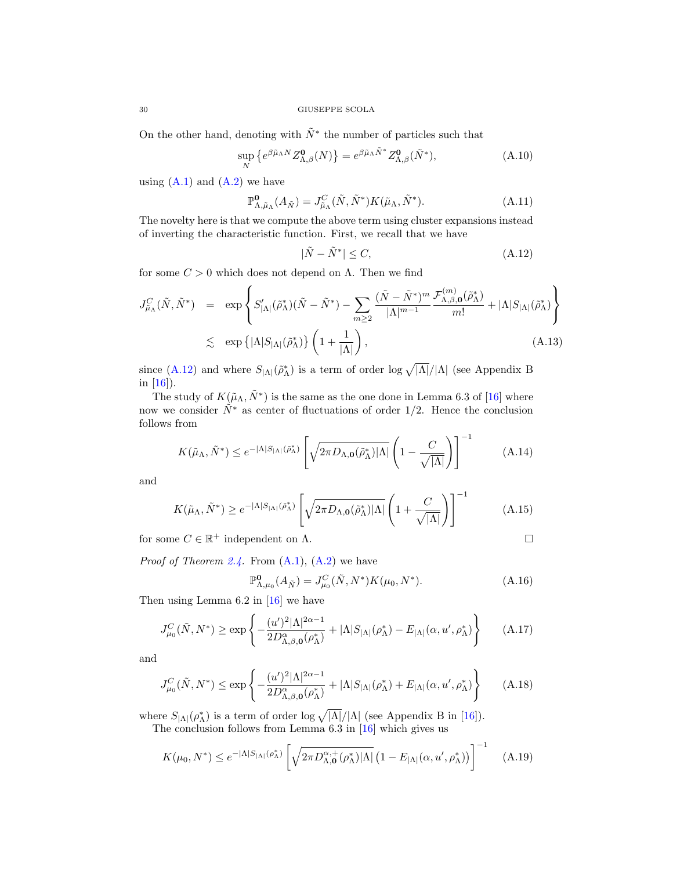On the other hand, denoting with  $\tilde{N}^*$  the number of particles such that

$$
\sup_{N} \left\{ e^{\beta \tilde{\mu}_{\Lambda} N} Z_{\Lambda,\beta}^{0}(N) \right\} = e^{\beta \tilde{\mu}_{\Lambda} \tilde{N}^{*}} Z_{\Lambda,\beta}^{0}(\tilde{N}^{*}), \tag{A.10}
$$

using  $(A.1)$  and  $(A.2)$  we have

$$
\mathbb{P}^{\mathbf{0}}_{\Lambda,\tilde{\mu}_{\Lambda}}(A_{\tilde{N}}) = J_{\tilde{\mu}_{\Lambda}}^C(\tilde{N}, \tilde{N}^*) K(\tilde{\mu}_{\Lambda}, \tilde{N}^*). \tag{A.11}
$$

The novelty here is that we compute the above term using cluster expansions instead of inverting the characteristic function. First, we recall that we have

<span id="page-29-0"></span>
$$
|\tilde{N} - \tilde{N}^*| \le C,\tag{A.12}
$$

for some  $C > 0$  which does not depend on  $\Lambda$ . Then we find

$$
J_{\tilde{\mu}_{\Lambda}}^{C}(\tilde{N},\tilde{N}^{*}) = \exp\left\{S'_{|\Lambda|}(\tilde{\rho}_{\Lambda}^{*})(\tilde{N}-\tilde{N}^{*}) - \sum_{m\geq 2} \frac{(\tilde{N}-\tilde{N}^{*})^{m}}{|\Lambda|^{m-1}} \frac{\mathcal{F}^{(m)}_{\Lambda,\beta,\mathbf{0}}(\tilde{\rho}_{\Lambda}^{*})}{m!} + |\Lambda|S_{|\Lambda|}(\tilde{\rho}_{\Lambda}^{*})\right\}
$$
  

$$
\lesssim \exp\left\{|\Lambda|S_{|\Lambda|}(\tilde{\rho}_{\Lambda}^{*})\right\} \left(1 + \frac{1}{|\Lambda|}\right), \tag{A.13}
$$

since [\(A.12\)](#page-29-0) and where  $S_{|\Lambda|}(\tilde{\rho}_{\Lambda}^*)$  is a term of order  $\log \sqrt{|\Lambda|}/|\Lambda|$  (see Appendix B in  $[16]$ ).

The study of  $K(\tilde{\mu}_{\Lambda}, \tilde{N}^*)$  is the same as the one done in Lemma 6.3 of [\[16\]](#page-30-11) where now we consider  $\tilde{N}^*$  as center of fluctuations of order 1/2. Hence the conclusion follows from

$$
K(\tilde{\mu}_{\Lambda}, \tilde{N}^*) \le e^{-|\Lambda|S_{|\Lambda|}(\tilde{\rho}_{\Lambda}^*)} \left[ \sqrt{2\pi D_{\Lambda,0}(\tilde{\rho}_{\Lambda}^*) |\Lambda|} \left( 1 - \frac{C}{\sqrt{|\Lambda|}} \right) \right]^{-1} \tag{A.14}
$$

and

$$
K(\tilde{\mu}_{\Lambda}, \tilde{N}^*) \ge e^{-|\Lambda|S_{|\Lambda|}(\tilde{\rho}_{\Lambda}^*)} \left[ \sqrt{2\pi D_{\Lambda,0}(\tilde{\rho}_{\Lambda}^*)|\Lambda|} \left( 1 + \frac{C}{\sqrt{|\Lambda|}} \right) \right]^{-1} \tag{A.15}
$$

for some  $C \in \mathbb{R}^+$  independent on  $\Lambda$ .

*Proof of Theorem [2.4.](#page-7-0)* From  $(A.1)$ ,  $(A.2)$  we have

$$
\mathbb{P}^{\mathbf{0}}_{\Lambda,\mu_0}(A_{\tilde{N}}) = J^C_{\mu_0}(\tilde{N},N^*)K(\mu_0,N^*).
$$
 (A.16)

Then using Lemma 6.2 in [\[16\]](#page-30-11) we have

$$
J_{\mu_0}^C(\tilde{N}, N^*) \ge \exp\left\{-\frac{(u')^2|\Lambda|^{2\alpha-1}}{2D_{\Lambda,\beta,\mathbf{0}}^{\alpha}(\rho_{\Lambda}^*)} + |\Lambda|S_{|\Lambda|}(\rho_{\Lambda}^*) - E_{|\Lambda|}(\alpha, u', \rho_{\Lambda}^*)\right\} \tag{A.17}
$$

and

$$
J_{\mu_0}^C(\tilde{N}, N^*) \le \exp\left\{-\frac{(u')^2|\Lambda|^{2\alpha-1}}{2D_{\Lambda,\beta,\mathbf{0}}^{\alpha}(\rho_{\Lambda}^*)} + |\Lambda|S_{|\Lambda|}(\rho_{\Lambda}^*) + E_{|\Lambda|}(\alpha, u', \rho_{\Lambda}^*)\right\} \tag{A.18}
$$

where  $S_{\vert \Lambda \vert}(\rho_{\Lambda}^*)$  is a term of order  $\log \sqrt{|\Lambda|}/|\Lambda|$  (see Appendix B in [\[16\]](#page-30-11)).

The conclusion follows from Lemma 6.3 in [\[16\]](#page-30-11) which gives us

$$
K(\mu_0, N^*) \le e^{-|\Lambda|S_{|\Lambda|}(\rho_{\Lambda}^*)} \left[ \sqrt{2\pi D_{\Lambda,0}^{\alpha,+}(\rho_{\Lambda}^*)|\Lambda|} \left(1 - E_{|\Lambda|}(\alpha, u', \rho_{\Lambda}^*)\right) \right]^{-1} \tag{A.19}
$$